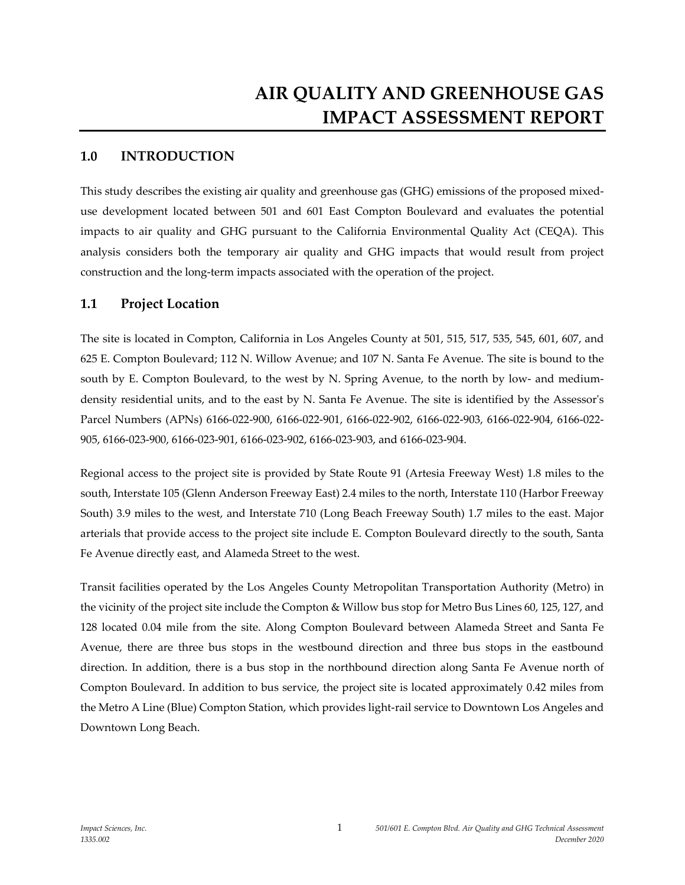# **AIR QUALITY AND GREENHOUSE GAS IMPACT ASSESSMENT REPORT**

## **1.0 INTRODUCTION**

This study describes the existing air quality and greenhouse gas (GHG) emissions of the proposed mixeduse development located between 501 and 601 East Compton Boulevard and evaluates the potential impacts to air quality and GHG pursuant to the California Environmental Quality Act (CEQA). This analysis considers both the temporary air quality and GHG impacts that would result from project construction and the long-term impacts associated with the operation of the project.

## **1.1 Project Location**

The site is located in Compton, California in Los Angeles County at 501, 515, 517, 535, 545, 601, 607, and 625 E. Compton Boulevard; 112 N. Willow Avenue; and 107 N. Santa Fe Avenue. The site is bound to the south by E. Compton Boulevard, to the west by N. Spring Avenue, to the north by low- and mediumdensity residential units, and to the east by N. Santa Fe Avenue. The site is identified by the Assessor's Parcel Numbers (APNs) 6166-022-900, 6166-022-901, 6166-022-902, 6166-022-903, 6166-022-904, 6166-022- 905, 6166-023-900, 6166-023-901, 6166-023-902, 6166-023-903, and 6166-023-904.

Regional access to the project site is provided by State Route 91 (Artesia Freeway West) 1.8 miles to the south, Interstate 105 (Glenn Anderson Freeway East) 2.4 miles to the north, Interstate 110 (Harbor Freeway South) 3.9 miles to the west, and Interstate 710 (Long Beach Freeway South) 1.7 miles to the east. Major arterials that provide access to the project site include E. Compton Boulevard directly to the south, Santa Fe Avenue directly east, and Alameda Street to the west.

Transit facilities operated by the Los Angeles County Metropolitan Transportation Authority (Metro) in the vicinity of the project site include the Compton & Willow bus stop for Metro Bus Lines 60, 125, 127, and 128 located 0.04 mile from the site. Along Compton Boulevard between Alameda Street and Santa Fe Avenue, there are three bus stops in the westbound direction and three bus stops in the eastbound direction. In addition, there is a bus stop in the northbound direction along Santa Fe Avenue north of Compton Boulevard. In addition to bus service, the project site is located approximately 0.42 miles from the Metro A Line (Blue) Compton Station, which provides light-rail service to Downtown Los Angeles and Downtown Long Beach.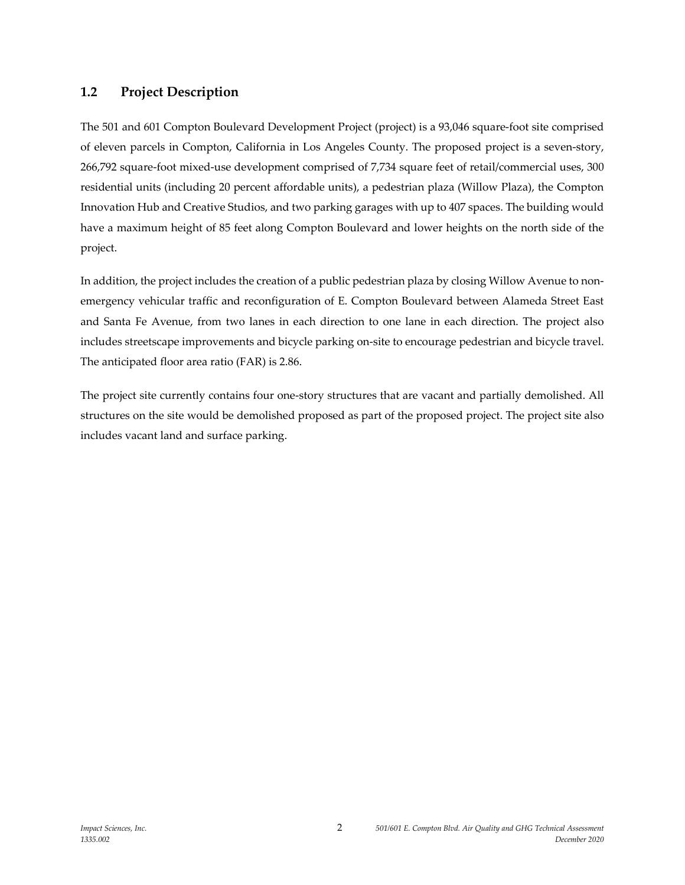## **1.2 Project Description**

The 501 and 601 Compton Boulevard Development Project (project) is a 93,046 square-foot site comprised of eleven parcels in Compton, California in Los Angeles County. The proposed project is a seven-story, 266,792 square-foot mixed-use development comprised of 7,734 square feet of retail/commercial uses, 300 residential units (including 20 percent affordable units), a pedestrian plaza (Willow Plaza), the Compton Innovation Hub and Creative Studios, and two parking garages with up to 407 spaces. The building would have a maximum height of 85 feet along Compton Boulevard and lower heights on the north side of the project.

In addition, the project includes the creation of a public pedestrian plaza by closing Willow Avenue to nonemergency vehicular traffic and reconfiguration of E. Compton Boulevard between Alameda Street East and Santa Fe Avenue, from two lanes in each direction to one lane in each direction. The project also includes streetscape improvements and bicycle parking on-site to encourage pedestrian and bicycle travel. The anticipated floor area ratio (FAR) is 2.86.

The project site currently contains four one-story structures that are vacant and partially demolished. All structures on the site would be demolished proposed as part of the proposed project. The project site also includes vacant land and surface parking.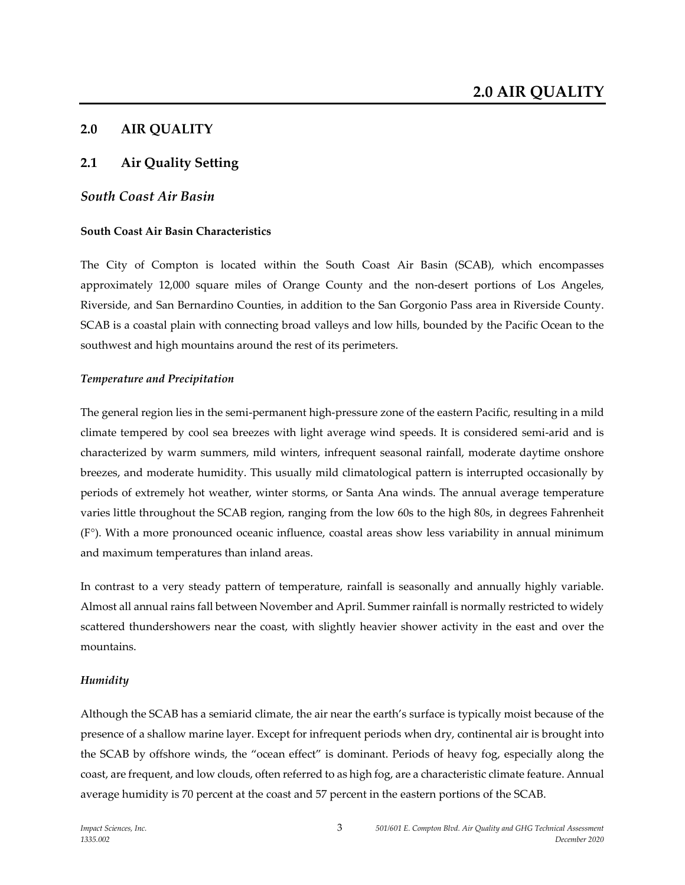## **2.0 AIR QUALITY**

## **2.1 Air Quality Setting**

## *South Coast Air Basin*

### **South Coast Air Basin Characteristics**

The City of Compton is located within the South Coast Air Basin (SCAB), which encompasses approximately 12,000 square miles of Orange County and the non-desert portions of Los Angeles, Riverside, and San Bernardino Counties, in addition to the San Gorgonio Pass area in Riverside County. SCAB is a coastal plain with connecting broad valleys and low hills, bounded by the Pacific Ocean to the southwest and high mountains around the rest of its perimeters.

#### *Temperature and Precipitation*

The general region lies in the semi-permanent high-pressure zone of the eastern Pacific, resulting in a mild climate tempered by cool sea breezes with light average wind speeds. It is considered semi-arid and is characterized by warm summers, mild winters, infrequent seasonal rainfall, moderate daytime onshore breezes, and moderate humidity. This usually mild climatological pattern is interrupted occasionally by periods of extremely hot weather, winter storms, or Santa Ana winds. The annual average temperature varies little throughout the SCAB region, ranging from the low 60s to the high 80s, in degrees Fahrenheit (F°). With a more pronounced oceanic influence, coastal areas show less variability in annual minimum and maximum temperatures than inland areas.

In contrast to a very steady pattern of temperature, rainfall is seasonally and annually highly variable. Almost all annual rains fall between November and April. Summer rainfall is normally restricted to widely scattered thundershowers near the coast, with slightly heavier shower activity in the east and over the mountains.

### *Humidity*

Although the SCAB has a semiarid climate, the air near the earth's surface is typically moist because of the presence of a shallow marine layer. Except for infrequent periods when dry, continental air is brought into the SCAB by offshore winds, the "ocean effect" is dominant. Periods of heavy fog, especially along the coast, are frequent, and low clouds, often referred to as high fog, are a characteristic climate feature. Annual average humidity is 70 percent at the coast and 57 percent in the eastern portions of the SCAB.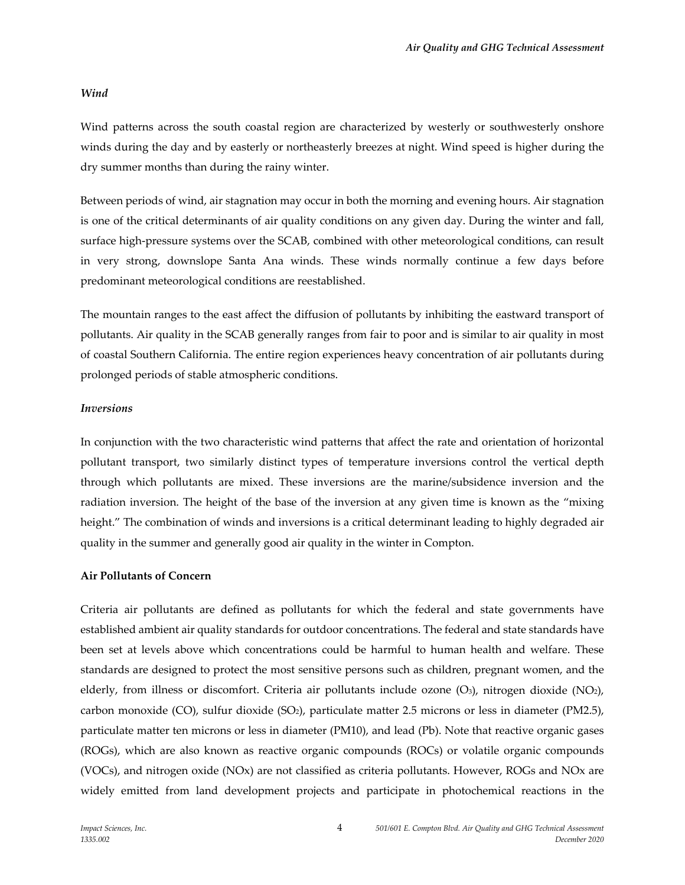#### *Wind*

Wind patterns across the south coastal region are characterized by westerly or southwesterly onshore winds during the day and by easterly or northeasterly breezes at night. Wind speed is higher during the dry summer months than during the rainy winter.

Between periods of wind, air stagnation may occur in both the morning and evening hours. Air stagnation is one of the critical determinants of air quality conditions on any given day. During the winter and fall, surface high-pressure systems over the SCAB, combined with other meteorological conditions, can result in very strong, downslope Santa Ana winds. These winds normally continue a few days before predominant meteorological conditions are reestablished.

The mountain ranges to the east affect the diffusion of pollutants by inhibiting the eastward transport of pollutants. Air quality in the SCAB generally ranges from fair to poor and is similar to air quality in most of coastal Southern California. The entire region experiences heavy concentration of air pollutants during prolonged periods of stable atmospheric conditions.

#### *Inversions*

In conjunction with the two characteristic wind patterns that affect the rate and orientation of horizontal pollutant transport, two similarly distinct types of temperature inversions control the vertical depth through which pollutants are mixed. These inversions are the marine/subsidence inversion and the radiation inversion. The height of the base of the inversion at any given time is known as the "mixing height." The combination of winds and inversions is a critical determinant leading to highly degraded air quality in the summer and generally good air quality in the winter in Compton.

#### **Air Pollutants of Concern**

Criteria air pollutants are defined as pollutants for which the federal and state governments have established ambient air quality standards for outdoor concentrations. The federal and state standards have been set at levels above which concentrations could be harmful to human health and welfare. These standards are designed to protect the most sensitive persons such as children, pregnant women, and the elderly, from illness or discomfort. Criteria air pollutants include ozone (O3), nitrogen dioxide (NO2), carbon monoxide (CO), sulfur dioxide (SO2), particulate matter 2.5 microns or less in diameter (PM2.5), particulate matter ten microns or less in diameter (PM10), and lead (Pb). Note that reactive organic gases (ROGs), which are also known as reactive organic compounds (ROCs) or volatile organic compounds (VOCs), and nitrogen oxide (NOx) are not classified as criteria pollutants. However, ROGs and NOx are widely emitted from land development projects and participate in photochemical reactions in the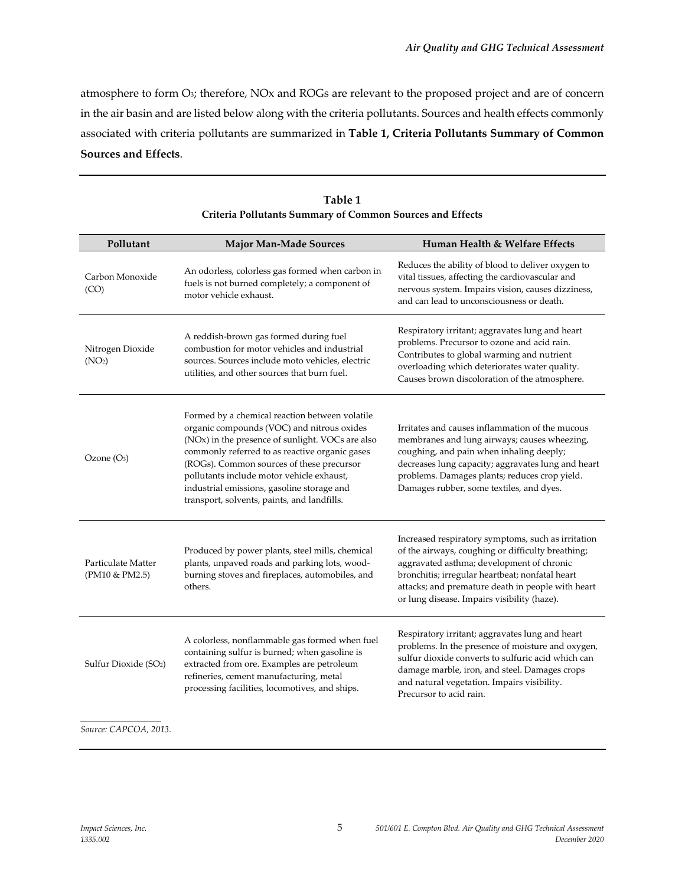atmosphere to form O3; therefore, NOx and ROGs are relevant to the proposed project and are of concern in the air basin and are listed below along with the criteria pollutants. Sources and health effects commonly associated with criteria pollutants are summarized in **Table 1, Criteria Pollutants Summary of Common Sources and Effects**.

| Pollutant                              | <b>Major Man-Made Sources</b>                                                                                                                                                                                                                                                                                                                                                             | Human Health & Welfare Effects                                                                                                                                                                                                                                                                              |  |
|----------------------------------------|-------------------------------------------------------------------------------------------------------------------------------------------------------------------------------------------------------------------------------------------------------------------------------------------------------------------------------------------------------------------------------------------|-------------------------------------------------------------------------------------------------------------------------------------------------------------------------------------------------------------------------------------------------------------------------------------------------------------|--|
| Carbon Monoxide<br>(CO)                | An odorless, colorless gas formed when carbon in<br>fuels is not burned completely; a component of<br>motor vehicle exhaust.                                                                                                                                                                                                                                                              | Reduces the ability of blood to deliver oxygen to<br>vital tissues, affecting the cardiovascular and<br>nervous system. Impairs vision, causes dizziness,<br>and can lead to unconsciousness or death.                                                                                                      |  |
| Nitrogen Dioxide<br>(NO <sub>2</sub> ) | A reddish-brown gas formed during fuel<br>combustion for motor vehicles and industrial<br>sources. Sources include moto vehicles, electric<br>utilities, and other sources that burn fuel.                                                                                                                                                                                                | Respiratory irritant; aggravates lung and heart<br>problems. Precursor to ozone and acid rain.<br>Contributes to global warming and nutrient<br>overloading which deteriorates water quality.<br>Causes brown discoloration of the atmosphere.                                                              |  |
| Ozone $(O_3)$                          | Formed by a chemical reaction between volatile<br>organic compounds (VOC) and nitrous oxides<br>(NOx) in the presence of sunlight. VOCs are also<br>commonly referred to as reactive organic gases<br>(ROGs). Common sources of these precursor<br>pollutants include motor vehicle exhaust,<br>industrial emissions, gasoline storage and<br>transport, solvents, paints, and landfills. | Irritates and causes inflammation of the mucous<br>membranes and lung airways; causes wheezing,<br>coughing, and pain when inhaling deeply;<br>decreases lung capacity; aggravates lung and heart<br>problems. Damages plants; reduces crop yield.<br>Damages rubber, some textiles, and dyes.              |  |
| Particulate Matter<br>(PM10 & PM2.5)   | Produced by power plants, steel mills, chemical<br>plants, unpaved roads and parking lots, wood-<br>burning stoves and fireplaces, automobiles, and<br>others.                                                                                                                                                                                                                            | Increased respiratory symptoms, such as irritation<br>of the airways, coughing or difficulty breathing;<br>aggravated asthma; development of chronic<br>bronchitis; irregular heartbeat; nonfatal heart<br>attacks; and premature death in people with heart<br>or lung disease. Impairs visibility (haze). |  |
| Sulfur Dioxide (SO <sub>2</sub> )      | A colorless, nonflammable gas formed when fuel<br>containing sulfur is burned; when gasoline is<br>extracted from ore. Examples are petroleum<br>refineries, cement manufacturing, metal<br>processing facilities, locomotives, and ships.                                                                                                                                                | Respiratory irritant; aggravates lung and heart<br>problems. In the presence of moisture and oxygen,<br>sulfur dioxide converts to sulfuric acid which can<br>damage marble, iron, and steel. Damages crops<br>and natural vegetation. Impairs visibility.<br>Precursor to acid rain.                       |  |
|                                        |                                                                                                                                                                                                                                                                                                                                                                                           |                                                                                                                                                                                                                                                                                                             |  |

| Table 1                                                   |
|-----------------------------------------------------------|
| Criteria Pollutants Summary of Common Sources and Effects |

*Source: CAPCOA, 2013.*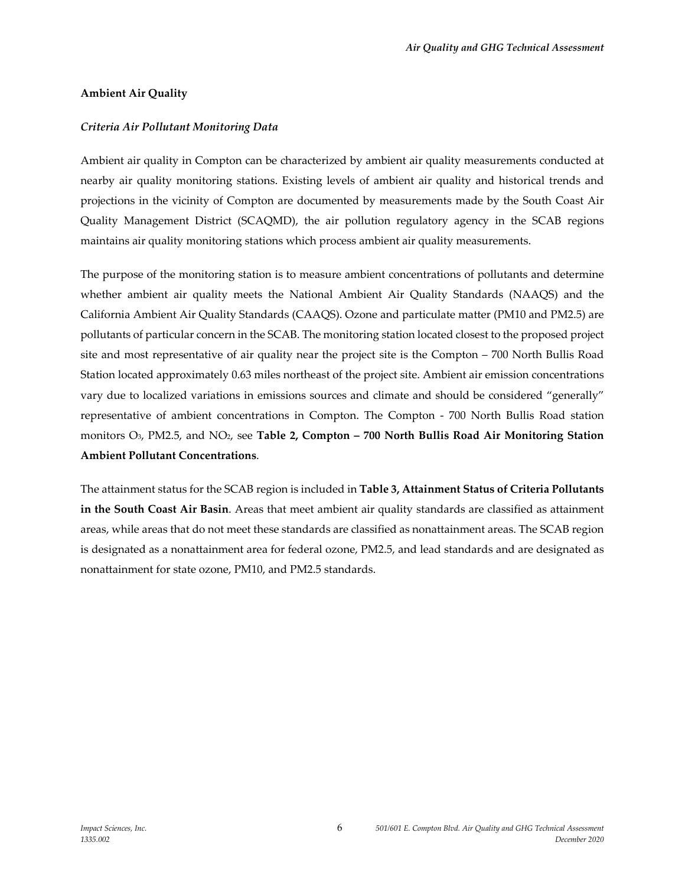### **Ambient Air Quality**

### *Criteria Air Pollutant Monitoring Data*

Ambient air quality in Compton can be characterized by ambient air quality measurements conducted at nearby air quality monitoring stations. Existing levels of ambient air quality and historical trends and projections in the vicinity of Compton are documented by measurements made by the South Coast Air Quality Management District (SCAQMD), the air pollution regulatory agency in the SCAB regions maintains air quality monitoring stations which process ambient air quality measurements.

The purpose of the monitoring station is to measure ambient concentrations of pollutants and determine whether ambient air quality meets the National Ambient Air Quality Standards (NAAQS) and the California Ambient Air Quality Standards (CAAQS). Ozone and particulate matter (PM10 and PM2.5) are pollutants of particular concern in the SCAB. The monitoring station located closest to the proposed project site and most representative of air quality near the project site is the Compton – 700 North Bullis Road Station located approximately 0.63 miles northeast of the project site. Ambient air emission concentrations vary due to localized variations in emissions sources and climate and should be considered "generally" representative of ambient concentrations in Compton. The Compton - 700 North Bullis Road station monitors O3, PM2.5, and NO2, see **Table 2, Compton – 700 North Bullis Road Air Monitoring Station Ambient Pollutant Concentrations**.

The attainment status for the SCAB region is included in **Table 3, Attainment Status of Criteria Pollutants in the South Coast Air Basin**. Areas that meet ambient air quality standards are classified as attainment areas, while areas that do not meet these standards are classified as nonattainment areas. The SCAB region is designated as a nonattainment area for federal ozone, PM2.5, and lead standards and are designated as nonattainment for state ozone, PM10, and PM2.5 standards.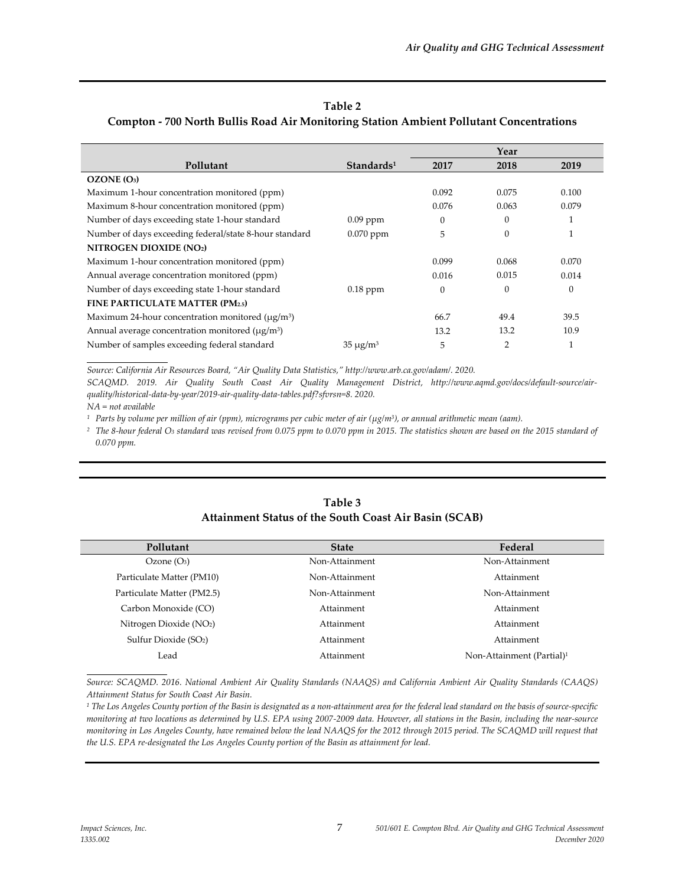#### **Table 2**

#### **Compton - 700 North Bullis Road Air Monitoring Station Ambient Pollutant Concentrations**

|                                                                    |                        |          | Year           |          |
|--------------------------------------------------------------------|------------------------|----------|----------------|----------|
| Pollutant                                                          | Standards <sup>1</sup> | 2017     | 2018           | 2019     |
| OZONE(0 <sub>3</sub> )                                             |                        |          |                |          |
| Maximum 1-hour concentration monitored (ppm)                       |                        | 0.092    | 0.075          | 0.100    |
| Maximum 8-hour concentration monitored (ppm)                       |                        | 0.076    | 0.063          | 0.079    |
| Number of days exceeding state 1-hour standard                     | $0.09$ ppm             | $\theta$ | $\Omega$       |          |
| Number of days exceeding federal/state 8-hour standard             | $0.070$ ppm            | 5        | $\Omega$       | 1        |
| NITROGEN DIOXIDE (NO2)                                             |                        |          |                |          |
| Maximum 1-hour concentration monitored (ppm)                       |                        | 0.099    | 0.068          | 0.070    |
| Annual average concentration monitored (ppm)                       |                        | 0.016    | 0.015          | 0.014    |
| Number of days exceeding state 1-hour standard                     | $0.18$ ppm             | $\theta$ | $\Omega$       | $\theta$ |
| FINE PARTICULATE MATTER (PM2.5)                                    |                        |          |                |          |
| Maximum 24-hour concentration monitored ( $\mu$ g/m <sup>3</sup> ) |                        | 66.7     | 49.4           | 39.5     |
| Annual average concentration monitored (µg/m <sup>3</sup> )        |                        | 13.2     | 13.2           | 10.9     |
| Number of samples exceeding federal standard                       | $35 \mu g/m^3$         | 5        | $\overline{2}$ | 1        |

*Source: California Air Resources Board, "Air Quality Data Statistics," http://www.arb.ca.gov/adam/. 2020.*

SCAQMD. 2019. Air Quality South Coast Air Quality Management District, [http://www.aqmd.gov/docs/default-source/air](http://www.aqmd.gov/docs/default-source/air-quality/historical-data-by-year/2019-air-quality-data-tables.pdf?sfvrsn=8)*[quality/historical-data-by-year/2019-air-quality-data-tables.pdf?sfvrsn=8.](http://www.aqmd.gov/docs/default-source/air-quality/historical-data-by-year/2019-air-quality-data-tables.pdf?sfvrsn=8) 2020.*

*NA = not available*

*1 Parts by volume per million of air (ppm), micrograms per cubic meter of air (µg/m3), or annual arithmetic mean (aam).*

<sup>2</sup> The 8-hour federal O<sub>3</sub> standard was revised from 0.075 ppm to 0.070 ppm in 2015. The statistics shown are based on the 2015 standard of *0.070 ppm.*

## **Table 3 Attainment Status of the South Coast Air Basin (SCAB)**

| Pollutant                           | <b>State</b>   | Federal                               |
|-------------------------------------|----------------|---------------------------------------|
| Ozone(O <sub>3</sub> )              | Non-Attainment | Non-Attainment                        |
| Particulate Matter (PM10)           | Non-Attainment | Attainment                            |
| Particulate Matter (PM2.5)          | Non-Attainment | Non-Attainment                        |
| Carbon Monoxide (CO)                | Attainment     | Attainment                            |
| Nitrogen Dioxide (NO <sub>2</sub> ) | Attainment     | Attainment                            |
| Sulfur Dioxide (SO2)                | Attainment     | Attainment                            |
| Lead                                | Attainment     | Non-Attainment (Partial) <sup>1</sup> |
|                                     |                |                                       |

*Source: SCAQMD. 2016. National Ambient Air Quality Standards (NAAQS) and California Ambient Air Quality Standards (CAAQS) Attainment Status for South Coast Air Basin.*

*<sup>1</sup> The Los Angeles County portion of the Basin is designated as a non-attainment area for the federal lead standard on the basis of source-specific monitoring at two locations as determined by U.S. EPA using 2007-2009 data. However, all stations in the Basin, including the near-source monitoring in Los Angeles County, have remained below the lead NAAQS for the 2012 through 2015 period. The SCAQMD will request that the U.S. EPA re-designated the Los Angeles County portion of the Basin as attainment for lead.*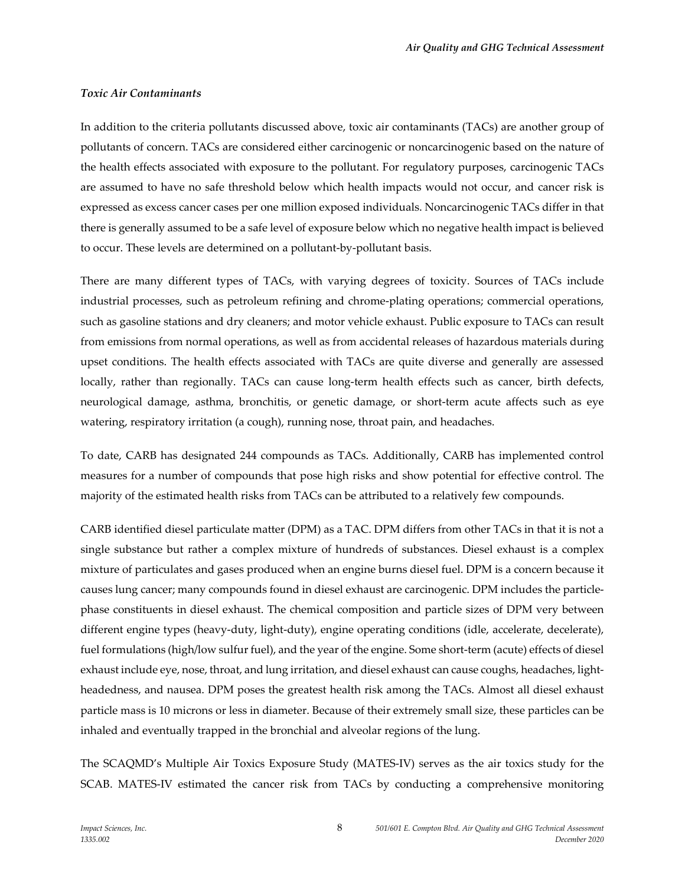#### *Toxic Air Contaminants*

In addition to the criteria pollutants discussed above, toxic air contaminants (TACs) are another group of pollutants of concern. TACs are considered either carcinogenic or noncarcinogenic based on the nature of the health effects associated with exposure to the pollutant. For regulatory purposes, carcinogenic TACs are assumed to have no safe threshold below which health impacts would not occur, and cancer risk is expressed as excess cancer cases per one million exposed individuals. Noncarcinogenic TACs differ in that there is generally assumed to be a safe level of exposure below which no negative health impact is believed to occur. These levels are determined on a pollutant-by-pollutant basis.

There are many different types of TACs, with varying degrees of toxicity. Sources of TACs include industrial processes, such as petroleum refining and chrome-plating operations; commercial operations, such as gasoline stations and dry cleaners; and motor vehicle exhaust. Public exposure to TACs can result from emissions from normal operations, as well as from accidental releases of hazardous materials during upset conditions. The health effects associated with TACs are quite diverse and generally are assessed locally, rather than regionally. TACs can cause long-term health effects such as cancer, birth defects, neurological damage, asthma, bronchitis, or genetic damage, or short-term acute affects such as eye watering, respiratory irritation (a cough), running nose, throat pain, and headaches.

To date, CARB has designated 244 compounds as TACs. Additionally, CARB has implemented control measures for a number of compounds that pose high risks and show potential for effective control. The majority of the estimated health risks from TACs can be attributed to a relatively few compounds.

CARB identified diesel particulate matter (DPM) as a TAC. DPM differs from other TACs in that it is not a single substance but rather a complex mixture of hundreds of substances. Diesel exhaust is a complex mixture of particulates and gases produced when an engine burns diesel fuel. DPM is a concern because it causes lung cancer; many compounds found in diesel exhaust are carcinogenic. DPM includes the particlephase constituents in diesel exhaust. The chemical composition and particle sizes of DPM very between different engine types (heavy-duty, light-duty), engine operating conditions (idle, accelerate, decelerate), fuel formulations (high/low sulfur fuel), and the year of the engine. Some short-term (acute) effects of diesel exhaust include eye, nose, throat, and lung irritation, and diesel exhaust can cause coughs, headaches, lightheadedness, and nausea. DPM poses the greatest health risk among the TACs. Almost all diesel exhaust particle mass is 10 microns or less in diameter. Because of their extremely small size, these particles can be inhaled and eventually trapped in the bronchial and alveolar regions of the lung.

The SCAQMD's Multiple Air Toxics Exposure Study (MATES-IV) serves as the air toxics study for the SCAB. MATES-IV estimated the cancer risk from TACs by conducting a comprehensive monitoring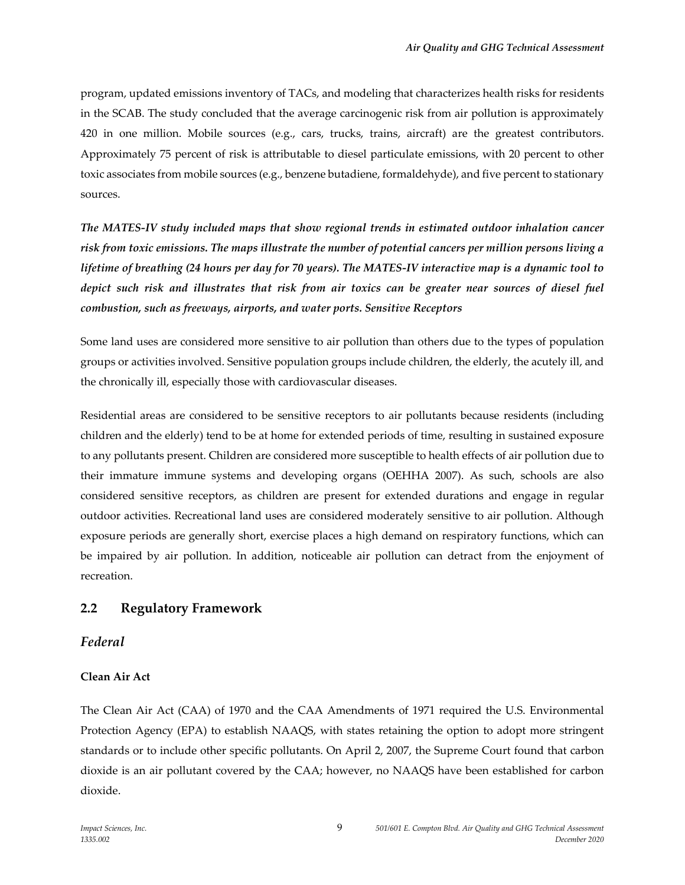program, updated emissions inventory of TACs, and modeling that characterizes health risks for residents in the SCAB. The study concluded that the average carcinogenic risk from air pollution is approximately 420 in one million. Mobile sources (e.g., cars, trucks, trains, aircraft) are the greatest contributors. Approximately 75 percent of risk is attributable to diesel particulate emissions, with 20 percent to other toxic associates from mobile sources (e.g., benzene butadiene, formaldehyde), and five percent to stationary sources.

*The MATES-IV study included maps that show regional trends in estimated outdoor inhalation cancer risk from toxic emissions. The maps illustrate the number of potential cancers per million persons living a lifetime of breathing (24 hours per day for 70 years). The MATES-IV interactive map is a dynamic tool to depict such risk and illustrates that risk from air toxics can be greater near sources of diesel fuel combustion, such as freeways, airports, and water ports. Sensitive Receptors*

Some land uses are considered more sensitive to air pollution than others due to the types of population groups or activities involved. Sensitive population groups include children, the elderly, the acutely ill, and the chronically ill, especially those with cardiovascular diseases.

Residential areas are considered to be sensitive receptors to air pollutants because residents (including children and the elderly) tend to be at home for extended periods of time, resulting in sustained exposure to any pollutants present. Children are considered more susceptible to health effects of air pollution due to their immature immune systems and developing organs (OEHHA 2007). As such, schools are also considered sensitive receptors, as children are present for extended durations and engage in regular outdoor activities. Recreational land uses are considered moderately sensitive to air pollution. Although exposure periods are generally short, exercise places a high demand on respiratory functions, which can be impaired by air pollution. In addition, noticeable air pollution can detract from the enjoyment of recreation.

## **2.2 Regulatory Framework**

### *Federal*

### **Clean Air Act**

The Clean Air Act (CAA) of 1970 and the CAA Amendments of 1971 required the U.S. Environmental Protection Agency (EPA) to establish NAAQS, with states retaining the option to adopt more stringent standards or to include other specific pollutants. On April 2, 2007, the Supreme Court found that carbon dioxide is an air pollutant covered by the CAA; however, no NAAQS have been established for carbon dioxide.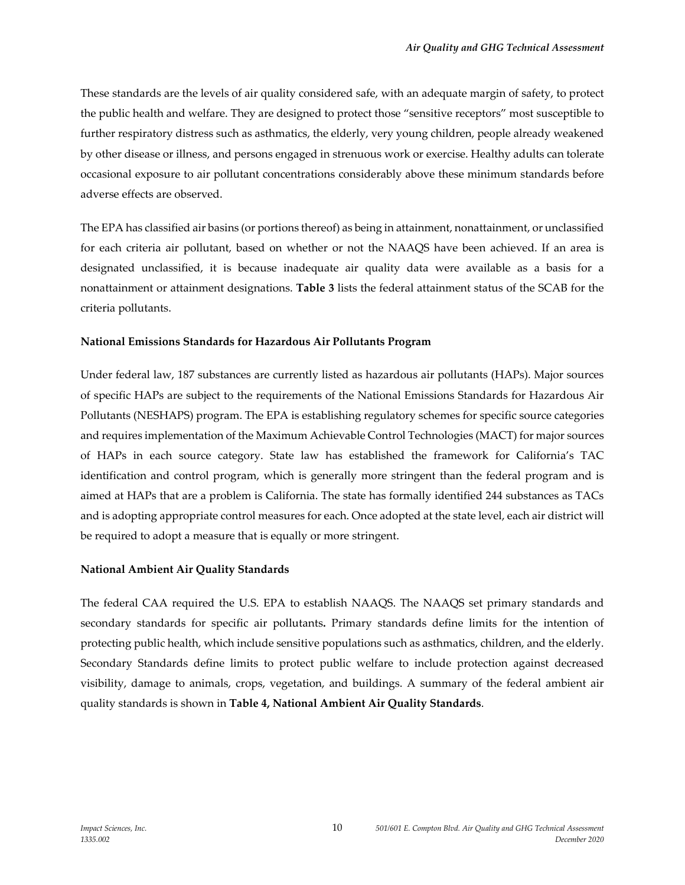These standards are the levels of air quality considered safe, with an adequate margin of safety, to protect the public health and welfare. They are designed to protect those "sensitive receptors" most susceptible to further respiratory distress such as asthmatics, the elderly, very young children, people already weakened by other disease or illness, and persons engaged in strenuous work or exercise. Healthy adults can tolerate occasional exposure to air pollutant concentrations considerably above these minimum standards before adverse effects are observed.

The EPA has classified air basins (or portions thereof) as being in attainment, nonattainment, or unclassified for each criteria air pollutant, based on whether or not the NAAQS have been achieved. If an area is designated unclassified, it is because inadequate air quality data were available as a basis for a nonattainment or attainment designations. **Table 3** lists the federal attainment status of the SCAB for the criteria pollutants.

#### **National Emissions Standards for Hazardous Air Pollutants Program**

Under federal law, 187 substances are currently listed as hazardous air pollutants (HAPs). Major sources of specific HAPs are subject to the requirements of the National Emissions Standards for Hazardous Air Pollutants (NESHAPS) program. The EPA is establishing regulatory schemes for specific source categories and requires implementation of the Maximum Achievable Control Technologies (MACT) for major sources of HAPs in each source category. State law has established the framework for California's TAC identification and control program, which is generally more stringent than the federal program and is aimed at HAPs that are a problem is California. The state has formally identified 244 substances as TACs and is adopting appropriate control measures for each. Once adopted at the state level, each air district will be required to adopt a measure that is equally or more stringent.

### **National Ambient Air Quality Standards**

The federal CAA required the U.S. EPA to establish NAAQS. The NAAQS set primary standards and secondary standards for specific air pollutants**.** Primary standards define limits for the intention of protecting public health, which include sensitive populations such as asthmatics, children, and the elderly. Secondary Standards define limits to protect public welfare to include protection against decreased visibility, damage to animals, crops, vegetation, and buildings. A summary of the federal ambient air quality standards is shown in **Table 4, National Ambient Air Quality Standards**.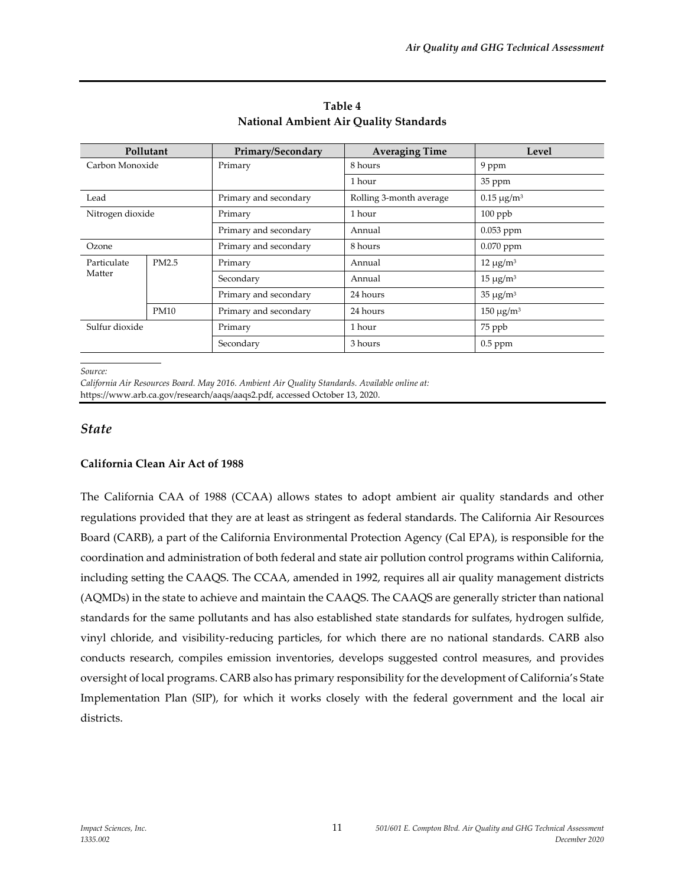| Pollutant        |             | Primary/Secondary     | <b>Averaging Time</b>   | Level            |  |
|------------------|-------------|-----------------------|-------------------------|------------------|--|
| Carbon Monoxide  |             | Primary               | 8 hours                 | 9 ppm            |  |
|                  |             |                       | 1 hour                  | 35 ppm           |  |
| Lead             |             | Primary and secondary | Rolling 3-month average | $0.15 \mu g/m^3$ |  |
| Nitrogen dioxide |             | Primary               | 1 hour                  | $100$ ppb        |  |
|                  |             | Primary and secondary | Annual                  | $0.053$ ppm      |  |
| Ozone            |             | Primary and secondary | 8 hours                 | $0.070$ ppm      |  |
| Particulate      | PM2.5       | Primary               | Annual                  | $12 \mu g/m^3$   |  |
| Matter           |             | Secondary             | Annual                  | $15 \mu g/m^3$   |  |
|                  |             | Primary and secondary | 24 hours                | $35 \mu g/m^3$   |  |
|                  | <b>PM10</b> | Primary and secondary | 24 hours                | $150 \mu g/m^3$  |  |
| Sulfur dioxide   |             | Primary               | 1 hour                  | 75 ppb           |  |
|                  |             | Secondary             | 3 hours                 | $0.5$ ppm        |  |

**Table 4 National Ambient Air Quality Standards**

*Source:*

*California Air Resources Board. May 2016. Ambient Air Quality Standards. Available online at:* https://www.arb.ca.gov/research/aaqs/aaqs2.pdf, accessed October 13, 2020.

### *State*

### **California Clean Air Act of 1988**

The California CAA of 1988 (CCAA) allows states to adopt ambient air quality standards and other regulations provided that they are at least as stringent as federal standards. The California Air Resources Board (CARB), a part of the California Environmental Protection Agency (Cal EPA), is responsible for the coordination and administration of both federal and state air pollution control programs within California, including setting the CAAQS. The CCAA, amended in 1992, requires all air quality management districts (AQMDs) in the state to achieve and maintain the CAAQS. The CAAQS are generally stricter than national standards for the same pollutants and has also established state standards for sulfates, hydrogen sulfide, vinyl chloride, and visibility-reducing particles, for which there are no national standards. CARB also conducts research, compiles emission inventories, develops suggested control measures, and provides oversight of local programs. CARB also has primary responsibility for the development of California's State Implementation Plan (SIP), for which it works closely with the federal government and the local air districts.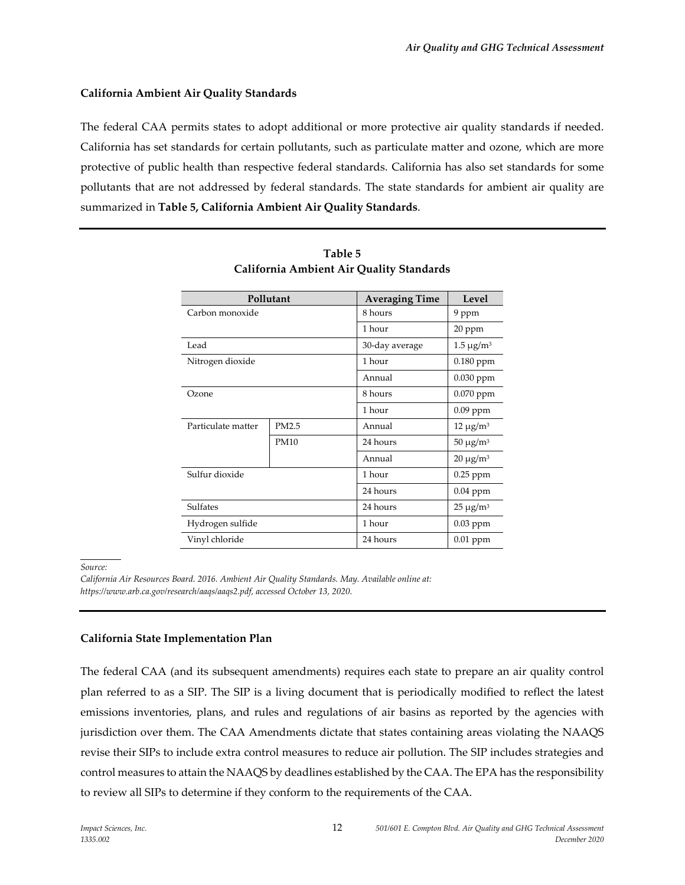#### **California Ambient Air Quality Standards**

The federal CAA permits states to adopt additional or more protective air quality standards if needed. California has set standards for certain pollutants, such as particulate matter and ozone, which are more protective of public health than respective federal standards. California has also set standards for some pollutants that are not addressed by federal standards. The state standards for ambient air quality are summarized in **Table 5, California Ambient Air Quality Standards**.

|                    | Pollutant   | <b>Averaging Time</b>             | Level          |  |
|--------------------|-------------|-----------------------------------|----------------|--|
| Carbon monoxide    |             | 8 hours                           | 9 ppm          |  |
|                    |             | 1 hour                            | 20 ppm         |  |
| Lead               |             | $1.5 \mu g/m^3$<br>30-day average |                |  |
| Nitrogen dioxide   |             | 0.180 ppm<br>1 hour               |                |  |
|                    |             | Annual                            | $0.030$ ppm    |  |
| Ozone              |             | 8 hours                           | 0.070 ppm      |  |
|                    |             | 1 hour                            | $0.09$ ppm     |  |
| Particulate matter | PM2.5       | Annual                            | $12 \mu g/m^3$ |  |
|                    | <b>PM10</b> | 24 hours                          | $50 \mu g/m^3$ |  |
|                    |             | Annual                            | $20 \mu g/m^3$ |  |
| Sulfur dioxide     |             | 1 hour                            | $0.25$ ppm     |  |
|                    |             | 24 hours                          | $0.04$ ppm     |  |
| <b>Sulfates</b>    |             | 24 hours                          | $25 \mu g/m^3$ |  |
| Hydrogen sulfide   |             | 1 hour                            | $0.03$ ppm     |  |
| Vinyl chloride     |             | 24 hours                          | $0.01$ ppm     |  |

| Table 5                                  |
|------------------------------------------|
| California Ambient Air Quality Standards |

*Source:*

*California Air Resources Board. 2016. Ambient Air Quality Standards. May. Available online at: https://www.arb.ca.gov/research/aaqs/aaqs2.pdf, accessed October 13, 2020.*

#### **California State Implementation Plan**

The federal CAA (and its subsequent amendments) requires each state to prepare an air quality control plan referred to as a SIP. The SIP is a living document that is periodically modified to reflect the latest emissions inventories, plans, and rules and regulations of air basins as reported by the agencies with jurisdiction over them. The CAA Amendments dictate that states containing areas violating the NAAQS revise their SIPs to include extra control measures to reduce air pollution. The SIP includes strategies and control measures to attain the NAAQS by deadlines established by the CAA. The EPA has the responsibility to review all SIPs to determine if they conform to the requirements of the CAA.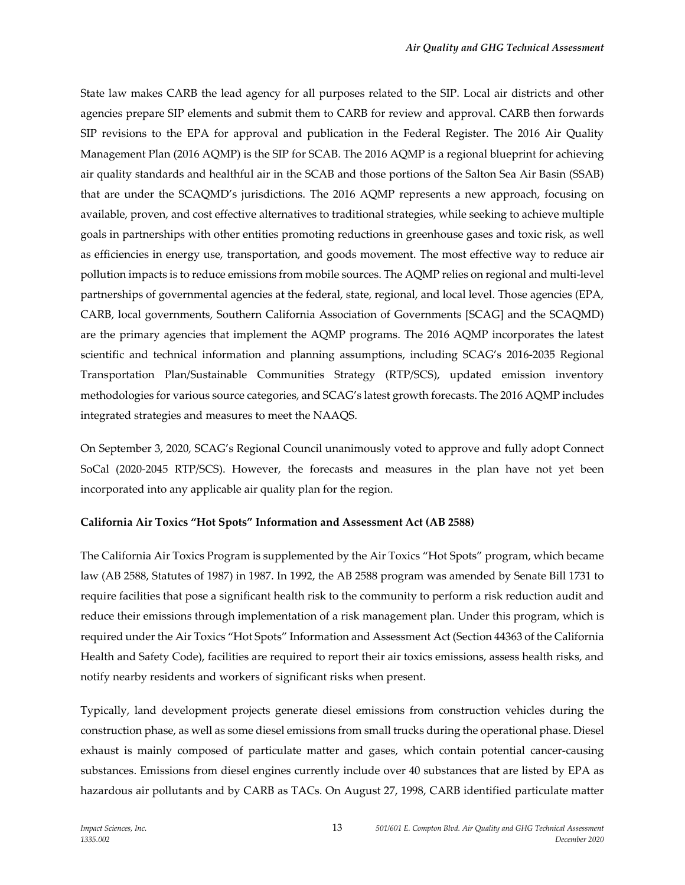State law makes CARB the lead agency for all purposes related to the SIP. Local air districts and other agencies prepare SIP elements and submit them to CARB for review and approval. CARB then forwards SIP revisions to the EPA for approval and publication in the Federal Register. The 2016 Air Quality Management Plan (2016 AQMP) is the SIP for SCAB. The 2016 AQMP is a regional blueprint for achieving air quality standards and healthful air in the SCAB and those portions of the Salton Sea Air Basin (SSAB) that are under the SCAQMD's jurisdictions. The 2016 AQMP represents a new approach, focusing on available, proven, and cost effective alternatives to traditional strategies, while seeking to achieve multiple goals in partnerships with other entities promoting reductions in greenhouse gases and toxic risk, as well as efficiencies in energy use, transportation, and goods movement. The most effective way to reduce air pollution impacts is to reduce emissions from mobile sources. The AQMP relies on regional and multi-level partnerships of governmental agencies at the federal, state, regional, and local level. Those agencies (EPA, CARB, local governments, Southern California Association of Governments [SCAG] and the SCAQMD) are the primary agencies that implement the AQMP programs. The 2016 AQMP incorporates the latest scientific and technical information and planning assumptions, including SCAG's 2016-2035 Regional Transportation Plan/Sustainable Communities Strategy (RTP/SCS), updated emission inventory methodologies for various source categories, and SCAG's latest growth forecasts. The 2016 AQMP includes integrated strategies and measures to meet the NAAQS.

On September 3, 2020, SCAG's Regional Council unanimously voted to approve and fully adopt Connect SoCal (2020-2045 RTP/SCS). However, the forecasts and measures in the plan have not yet been incorporated into any applicable air quality plan for the region.

### **California Air Toxics "Hot Spots" Information and Assessment Act (AB 2588)**

The California Air Toxics Program is supplemented by the Air Toxics "Hot Spots" program, which became law (AB 2588, Statutes of 1987) in 1987. In 1992, the AB 2588 program was amended by Senate Bill 1731 to require facilities that pose a significant health risk to the community to perform a risk reduction audit and reduce their emissions through implementation of a risk management plan. Under this program, which is required under the Air Toxics "Hot Spots" Information and Assessment Act (Section 44363 of the California Health and Safety Code), facilities are required to report their air toxics emissions, assess health risks, and notify nearby residents and workers of significant risks when present.

Typically, land development projects generate diesel emissions from construction vehicles during the construction phase, as well as some diesel emissions from small trucks during the operational phase. Diesel exhaust is mainly composed of particulate matter and gases, which contain potential cancer-causing substances. Emissions from diesel engines currently include over 40 substances that are listed by EPA as hazardous air pollutants and by CARB as TACs. On August 27, 1998, CARB identified particulate matter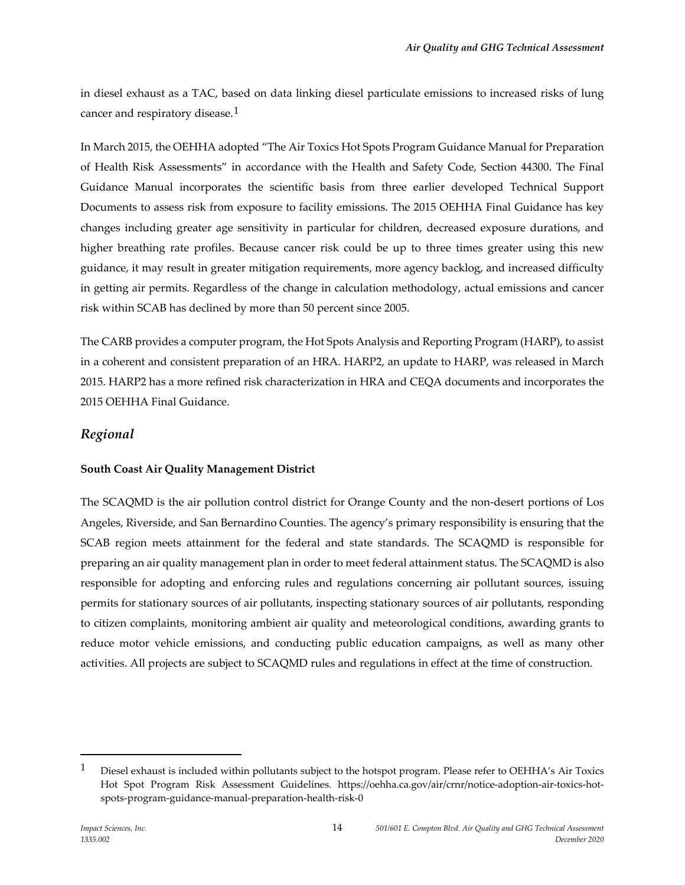in diesel exhaust as a TAC, based on data linking diesel particulate emissions to increased risks of lung cancer and respiratory disease.<sup>[1](#page-13-0)</sup>

In March 2015, the OEHHA adopted "The Air Toxics Hot Spots Program Guidance Manual for Preparation of Health Risk Assessments" in accordance with the Health and Safety Code, Section 44300. The Final Guidance Manual incorporates the scientific basis from three earlier developed Technical Support Documents to assess risk from exposure to facility emissions. The 2015 OEHHA Final Guidance has key changes including greater age sensitivity in particular for children, decreased exposure durations, and higher breathing rate profiles. Because cancer risk could be up to three times greater using this new guidance, it may result in greater mitigation requirements, more agency backlog, and increased difficulty in getting air permits. Regardless of the change in calculation methodology, actual emissions and cancer risk within SCAB has declined by more than 50 percent since 2005.

The CARB provides a computer program, the Hot Spots Analysis and Reporting Program (HARP), to assist in a coherent and consistent preparation of an HRA. HARP2, an update to HARP, was released in March 2015. HARP2 has a more refined risk characterization in HRA and CEQA documents and incorporates the 2015 OEHHA Final Guidance.

## *Regional*

### **South Coast Air Quality Management District**

The SCAQMD is the air pollution control district for Orange County and the non-desert portions of Los Angeles, Riverside, and San Bernardino Counties. The agency's primary responsibility is ensuring that the SCAB region meets attainment for the federal and state standards. The SCAQMD is responsible for preparing an air quality management plan in order to meet federal attainment status. The SCAQMD is also responsible for adopting and enforcing rules and regulations concerning air pollutant sources, issuing permits for stationary sources of air pollutants, inspecting stationary sources of air pollutants, responding to citizen complaints, monitoring ambient air quality and meteorological conditions, awarding grants to reduce motor vehicle emissions, and conducting public education campaigns, as well as many other activities. All projects are subject to SCAQMD rules and regulations in effect at the time of construction.

<span id="page-13-0"></span> $1$  Diesel exhaust is included within pollutants subject to the hotspot program. Please refer to OEHHA's Air Toxics Hot Spot Program Risk Assessment Guidelines. https://oehha.ca.gov/air/crnr/notice-adoption-air-toxics-hotspots-program-guidance-manual-preparation-health-risk-0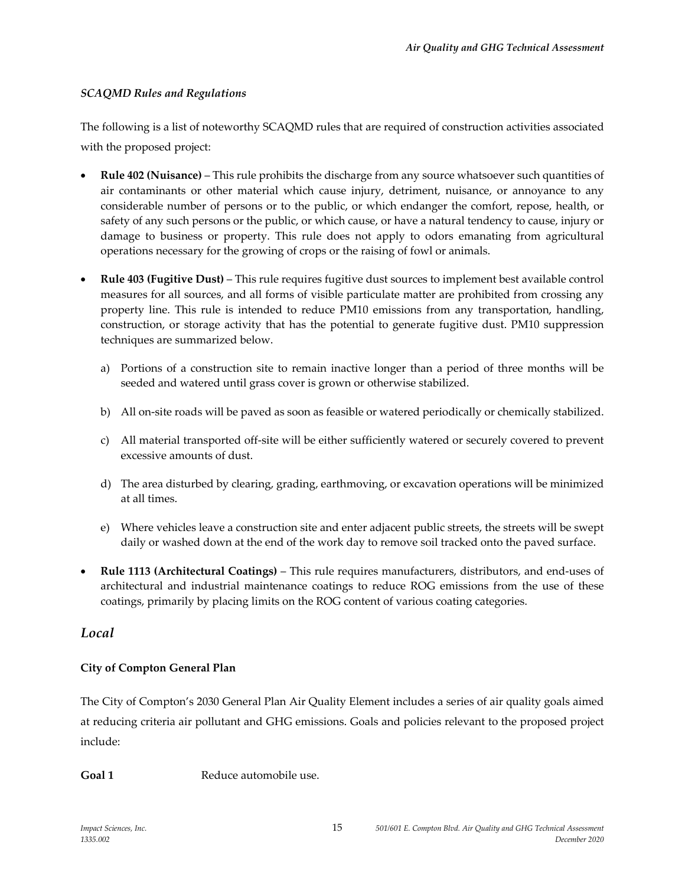## *SCAQMD Rules and Regulations*

The following is a list of noteworthy SCAQMD rules that are required of construction activities associated with the proposed project:

- **Rule 402 (Nuisance)**  This rule prohibits the discharge from any source whatsoever such quantities of air contaminants or other material which cause injury, detriment, nuisance, or annoyance to any considerable number of persons or to the public, or which endanger the comfort, repose, health, or safety of any such persons or the public, or which cause, or have a natural tendency to cause, injury or damage to business or property. This rule does not apply to odors emanating from agricultural operations necessary for the growing of crops or the raising of fowl or animals.
- **Rule 403 (Fugitive Dust)**  This rule requires fugitive dust sources to implement best available control measures for all sources, and all forms of visible particulate matter are prohibited from crossing any property line. This rule is intended to reduce PM10 emissions from any transportation, handling, construction, or storage activity that has the potential to generate fugitive dust. PM10 suppression techniques are summarized below.
	- a) Portions of a construction site to remain inactive longer than a period of three months will be seeded and watered until grass cover is grown or otherwise stabilized.
	- b) All on-site roads will be paved as soon as feasible or watered periodically or chemically stabilized.
	- c) All material transported off-site will be either sufficiently watered or securely covered to prevent excessive amounts of dust.
	- d) The area disturbed by clearing, grading, earthmoving, or excavation operations will be minimized at all times.
	- e) Where vehicles leave a construction site and enter adjacent public streets, the streets will be swept daily or washed down at the end of the work day to remove soil tracked onto the paved surface.
- **Rule 1113 (Architectural Coatings)**  This rule requires manufacturers, distributors, and end-uses of architectural and industrial maintenance coatings to reduce ROG emissions from the use of these coatings, primarily by placing limits on the ROG content of various coating categories.

## *Local*

## **City of Compton General Plan**

The City of Compton's 2030 General Plan Air Quality Element includes a series of air quality goals aimed at reducing criteria air pollutant and GHG emissions. Goals and policies relevant to the proposed project include:

Goal 1 Reduce automobile use.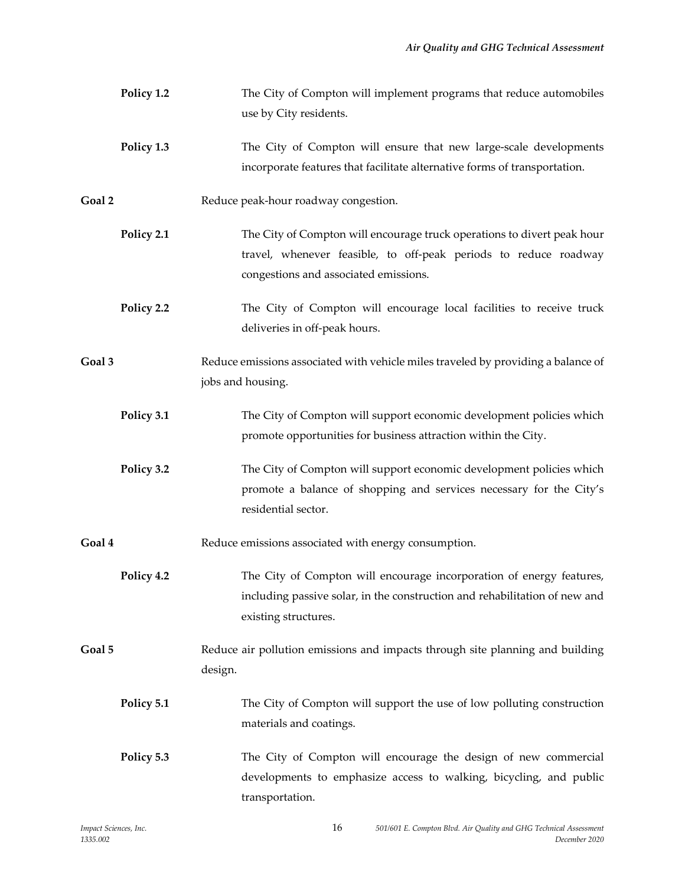|        | Policy 1.2 | The City of Compton will implement programs that reduce automobiles<br>use by City residents.                                                                                        |
|--------|------------|--------------------------------------------------------------------------------------------------------------------------------------------------------------------------------------|
|        | Policy 1.3 | The City of Compton will ensure that new large-scale developments<br>incorporate features that facilitate alternative forms of transportation.                                       |
| Goal 2 |            | Reduce peak-hour roadway congestion.                                                                                                                                                 |
|        | Policy 2.1 | The City of Compton will encourage truck operations to divert peak hour<br>travel, whenever feasible, to off-peak periods to reduce roadway<br>congestions and associated emissions. |
|        | Policy 2.2 | The City of Compton will encourage local facilities to receive truck<br>deliveries in off-peak hours.                                                                                |
| Goal 3 |            | Reduce emissions associated with vehicle miles traveled by providing a balance of<br>jobs and housing.                                                                               |
|        | Policy 3.1 | The City of Compton will support economic development policies which<br>promote opportunities for business attraction within the City.                                               |
|        | Policy 3.2 | The City of Compton will support economic development policies which<br>promote a balance of shopping and services necessary for the City's<br>residential sector.                   |
| Goal 4 |            | Reduce emissions associated with energy consumption.                                                                                                                                 |
|        | Policy 4.2 | The City of Compton will encourage incorporation of energy features,<br>including passive solar, in the construction and rehabilitation of new and<br>existing structures.           |
| Goal 5 |            | Reduce air pollution emissions and impacts through site planning and building<br>design.                                                                                             |
|        | Policy 5.1 | The City of Compton will support the use of low polluting construction<br>materials and coatings.                                                                                    |
|        | Policy 5.3 | The City of Compton will encourage the design of new commercial<br>developments to emphasize access to walking, bicycling, and public<br>transportation.                             |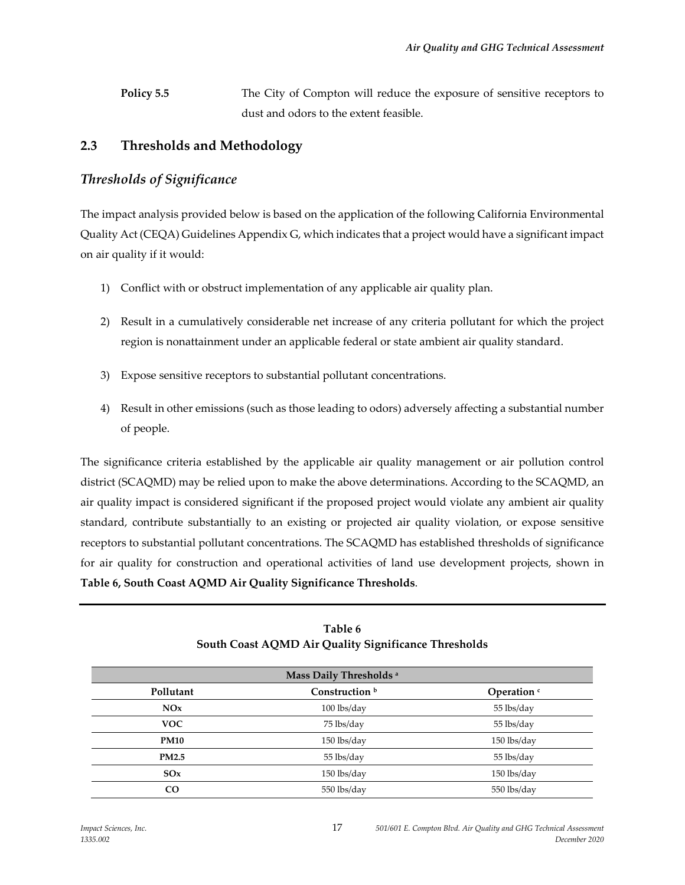**Policy 5.5** The City of Compton will reduce the exposure of sensitive receptors to dust and odors to the extent feasible.

## **2.3 Thresholds and Methodology**

## *Thresholds of Significance*

The impact analysis provided below is based on the application of the following California Environmental Quality Act (CEQA) Guidelines Appendix G, which indicates that a project would have a significant impact on air quality if it would:

- 1) Conflict with or obstruct implementation of any applicable air quality plan.
- 2) Result in a cumulatively considerable net increase of any criteria pollutant for which the project region is nonattainment under an applicable federal or state ambient air quality standard.
- 3) Expose sensitive receptors to substantial pollutant concentrations.
- 4) Result in other emissions (such as those leading to odors) adversely affecting a substantial number of people.

The significance criteria established by the applicable air quality management or air pollution control district (SCAQMD) may be relied upon to make the above determinations. According to the SCAQMD, an air quality impact is considered significant if the proposed project would violate any ambient air quality standard, contribute substantially to an existing or projected air quality violation, or expose sensitive receptors to substantial pollutant concentrations. The SCAQMD has established thresholds of significance for air quality for construction and operational activities of land use development projects, shown in **Table 6, South Coast AQMD Air Quality Significance Thresholds**.

|              | Mass Daily Thresholds <sup>a</sup> |                        |
|--------------|------------------------------------|------------------------|
| Pollutant    | Construction <sup>b</sup>          | Operation <sup>c</sup> |
| NOx          | $100$ lbs/day                      | 55 lbs/day             |
| <b>VOC</b>   | 75 lbs/day                         | 55 lbs/day             |
| <b>PM10</b>  | 150 lbs/day                        | 150 lbs/day            |
| <b>PM2.5</b> | 55 lbs/day                         | 55 lbs/day             |
| SOx          | $150$ lbs/day                      | $150$ lbs/day          |
| <b>CO</b>    | 550 lbs/day                        | 550 lbs/day            |

| Table 6                                              |
|------------------------------------------------------|
| South Coast AQMD Air Quality Significance Thresholds |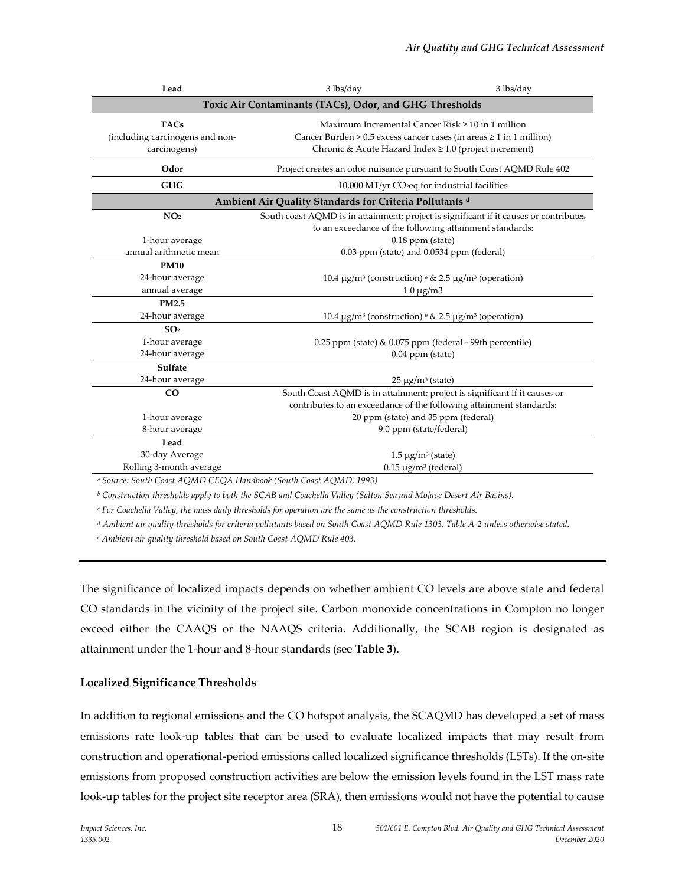| Lead                                                                                                               | 3 lbs/day                                                                                                                                                                                    | 3 lbs/day                                                                                                                                                              |  |  |
|--------------------------------------------------------------------------------------------------------------------|----------------------------------------------------------------------------------------------------------------------------------------------------------------------------------------------|------------------------------------------------------------------------------------------------------------------------------------------------------------------------|--|--|
| Toxic Air Contaminants (TACs), Odor, and GHG Thresholds                                                            |                                                                                                                                                                                              |                                                                                                                                                                        |  |  |
| <b>TACs</b><br>(including carcinogens and non-<br>carcinogens)                                                     | Maximum Incremental Cancer Risk $\geq 10$ in 1 million<br>Cancer Burden > 0.5 excess cancer cases (in areas $\geq 1$ in 1 million)<br>Chronic & Acute Hazard Index ≥ 1.0 (project increment) |                                                                                                                                                                        |  |  |
| Odor                                                                                                               |                                                                                                                                                                                              | Project creates an odor nuisance pursuant to South Coast AQMD Rule 402                                                                                                 |  |  |
| <b>GHG</b>                                                                                                         |                                                                                                                                                                                              | 10,000 MT/yr CO <sub>2</sub> eq for industrial facilities                                                                                                              |  |  |
|                                                                                                                    | Ambient Air Quality Standards for Criteria Pollutants d                                                                                                                                      |                                                                                                                                                                        |  |  |
| NO <sub>2</sub><br>1-hour average                                                                                  |                                                                                                                                                                                              | South coast AQMD is in attainment; project is significant if it causes or contributes<br>to an exceedance of the following attainment standards:<br>$0.18$ ppm (state) |  |  |
| annual arithmetic mean                                                                                             | 0.03 ppm (state) and 0.0534 ppm (federal)                                                                                                                                                    |                                                                                                                                                                        |  |  |
| <b>PM10</b><br>24-hour average<br>annual average                                                                   |                                                                                                                                                                                              | 10.4 $\mu$ g/m <sup>3</sup> (construction) <sup>e</sup> & 2.5 $\mu$ g/m <sup>3</sup> (operation)<br>$1.0 \mu g/m3$                                                     |  |  |
| PM2.5<br>24-hour average                                                                                           |                                                                                                                                                                                              | 10.4 $\mu$ g/m <sup>3</sup> (construction) <sup>e</sup> & 2.5 $\mu$ g/m <sup>3</sup> (operation)                                                                       |  |  |
| SO <sub>2</sub><br>1-hour average<br>24-hour average<br>Sulfate                                                    |                                                                                                                                                                                              | 0.25 ppm (state) & 0.075 ppm (federal - 99th percentile)<br>$0.04$ ppm (state)                                                                                         |  |  |
| 24-hour average                                                                                                    |                                                                                                                                                                                              | $25 \mu g/m^3$ (state)                                                                                                                                                 |  |  |
| CO                                                                                                                 |                                                                                                                                                                                              | South Coast AQMD is in attainment; project is significant if it causes or<br>contributes to an exceedance of the following attainment standards:                       |  |  |
| 1-hour average<br>8-hour average                                                                                   |                                                                                                                                                                                              | 20 ppm (state) and 35 ppm (federal)<br>9.0 ppm (state/federal)                                                                                                         |  |  |
| Lead<br>30-day Average<br>Rolling 3-month average<br>Course South Coast AOMD CEOA Handbook (South Coast AOMD 1002) |                                                                                                                                                                                              | $1.5 \mu g/m^3$ (state)<br>$0.15 \mu g/m^3$ (federal)                                                                                                                  |  |  |

*<sup>a</sup> Source: South Coast AQMD CEQA Handbook (South Coast AQMD, 1993)*

*<sup>b</sup> Construction thresholds apply to both the SCAB and Coachella Valley (Salton Sea and Mojave Desert Air Basins).*

*<sup>c</sup> For Coachella Valley, the mass daily thresholds for operation are the same as the construction thresholds.*

*<sup>d</sup> Ambient air quality thresholds for criteria pollutants based on South Coast AQMD Rule 1303, Table A-2 unless otherwise stated.*

*<sup>e</sup> Ambient air quality threshold based on South Coast AQMD Rule 403.*

The significance of localized impacts depends on whether ambient CO levels are above state and federal CO standards in the vicinity of the project site. Carbon monoxide concentrations in Compton no longer exceed either the CAAQS or the NAAQS criteria. Additionally, the SCAB region is designated as attainment under the 1-hour and 8-hour standards (see **Table 3**).

### **Localized Significance Thresholds**

In addition to regional emissions and the CO hotspot analysis, the SCAQMD has developed a set of mass emissions rate look-up tables that can be used to evaluate localized impacts that may result from construction and operational-period emissions called localized significance thresholds (LSTs). If the on-site emissions from proposed construction activities are below the emission levels found in the LST mass rate look-up tables for the project site receptor area (SRA), then emissions would not have the potential to cause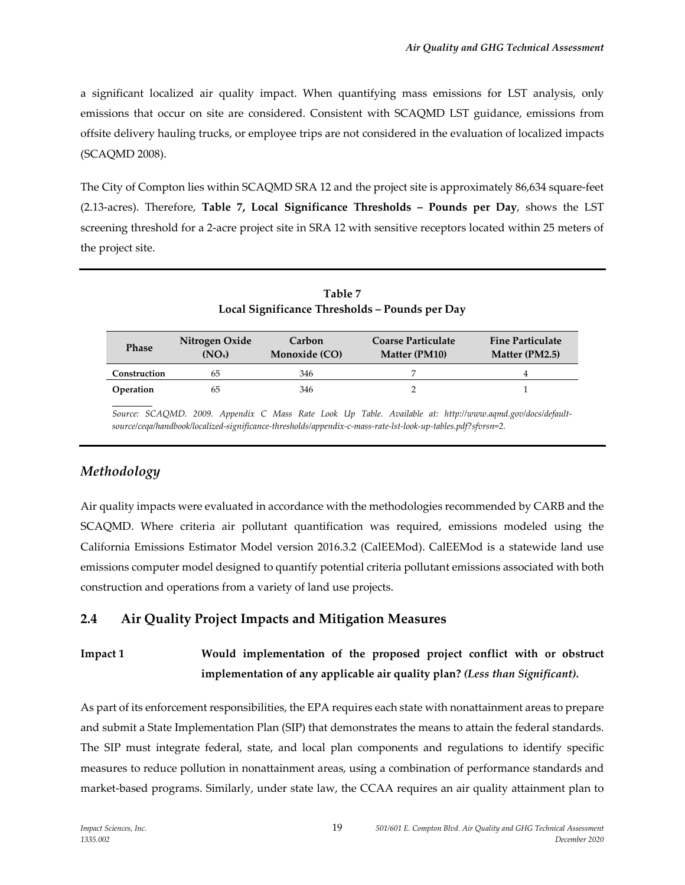a significant localized air quality impact. When quantifying mass emissions for LST analysis, only emissions that occur on site are considered. Consistent with SCAQMD LST guidance, emissions from offsite delivery hauling trucks, or employee trips are not considered in the evaluation of localized impacts (SCAQMD 2008).

The City of Compton lies within SCAQMD SRA 12 and the project site is approximately 86,634 square-feet (2.13-acres). Therefore, **Table 7, Local Significance Thresholds – Pounds per Day**, shows the LST screening threshold for a 2-acre project site in SRA 12 with sensitive receptors located within 25 meters of the project site.

| <i>Lable</i> /<br>Local Significance Thresholds - Pounds per Day |                                      |                         |                                                   |                                           |
|------------------------------------------------------------------|--------------------------------------|-------------------------|---------------------------------------------------|-------------------------------------------|
| <b>Phase</b>                                                     | Nitrogen Oxide<br>(NO <sub>x</sub> ) | Carbon<br>Monoxide (CO) | <b>Coarse Particulate</b><br><b>Matter (PM10)</b> | <b>Fine Particulate</b><br>Matter (PM2.5) |
| Construction                                                     | 65                                   | 346                     |                                                   | 4                                         |
| Operation                                                        | 65                                   | 346                     |                                                   |                                           |

**Table 7**

*Source: SCAQMD. 2009. Appendix C Mass Rate Look Up Table. Available at: http://www.aqmd.gov/docs/defaultsource/ceqa/handbook/localized-significance-thresholds/appendix-c-mass-rate-lst-look-up-tables.pdf?sfvrsn=2.*

## *Methodology*

Air quality impacts were evaluated in accordance with the methodologies recommended by CARB and the SCAQMD. Where criteria air pollutant quantification was required, emissions modeled using the California Emissions Estimator Model version 2016.3.2 (CalEEMod). CalEEMod is a statewide land use emissions computer model designed to quantify potential criteria pollutant emissions associated with both construction and operations from a variety of land use projects.

## **2.4 Air Quality Project Impacts and Mitigation Measures**

## **Impact 1 Would implementation of the proposed project conflict with or obstruct implementation of any applicable air quality plan?** *(Less than Significant).*

As part of its enforcement responsibilities, the EPA requires each state with nonattainment areas to prepare and submit a State Implementation Plan (SIP) that demonstrates the means to attain the federal standards. The SIP must integrate federal, state, and local plan components and regulations to identify specific measures to reduce pollution in nonattainment areas, using a combination of performance standards and market-based programs. Similarly, under state law, the CCAA requires an air quality attainment plan to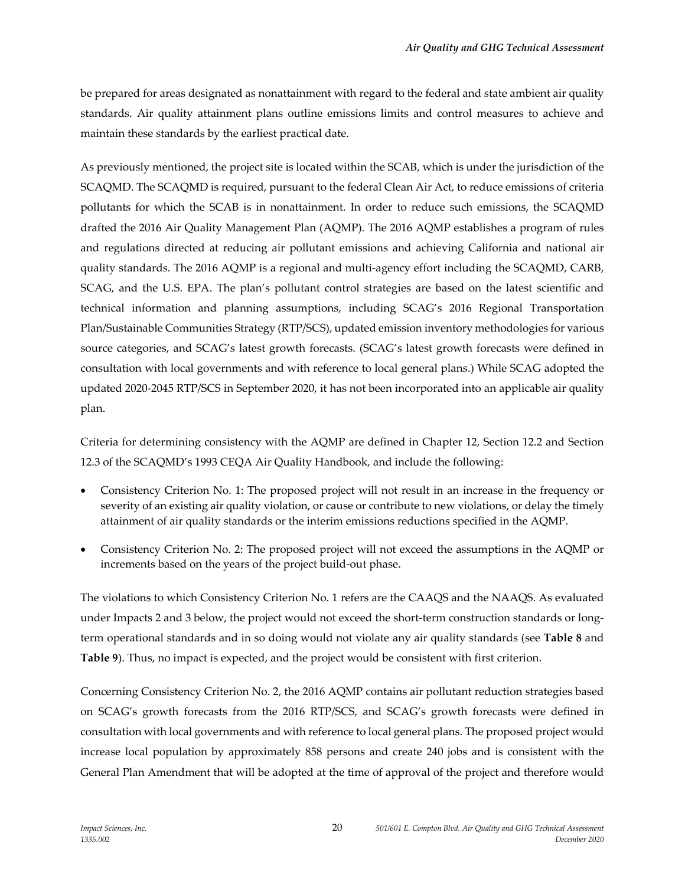be prepared for areas designated as nonattainment with regard to the federal and state ambient air quality standards. Air quality attainment plans outline emissions limits and control measures to achieve and maintain these standards by the earliest practical date.

As previously mentioned, the project site is located within the SCAB, which is under the jurisdiction of the SCAQMD. The SCAQMD is required, pursuant to the federal Clean Air Act, to reduce emissions of criteria pollutants for which the SCAB is in nonattainment. In order to reduce such emissions, the SCAQMD drafted the 2016 Air Quality Management Plan (AQMP). The 2016 AQMP establishes a program of rules and regulations directed at reducing air pollutant emissions and achieving California and national air quality standards. The 2016 AQMP is a regional and multi-agency effort including the SCAQMD, CARB, SCAG, and the U.S. EPA. The plan's pollutant control strategies are based on the latest scientific and technical information and planning assumptions, including SCAG's 2016 Regional Transportation Plan/Sustainable Communities Strategy (RTP/SCS), updated emission inventory methodologies for various source categories, and SCAG's latest growth forecasts. (SCAG's latest growth forecasts were defined in consultation with local governments and with reference to local general plans.) While SCAG adopted the updated 2020-2045 RTP/SCS in September 2020, it has not been incorporated into an applicable air quality plan.

Criteria for determining consistency with the AQMP are defined in Chapter 12, Section 12.2 and Section 12.3 of the SCAQMD's 1993 CEQA Air Quality Handbook, and include the following:

- Consistency Criterion No. 1: The proposed project will not result in an increase in the frequency or severity of an existing air quality violation, or cause or contribute to new violations, or delay the timely attainment of air quality standards or the interim emissions reductions specified in the AQMP.
- Consistency Criterion No. 2: The proposed project will not exceed the assumptions in the AQMP or increments based on the years of the project build-out phase.

The violations to which Consistency Criterion No. 1 refers are the CAAQS and the NAAQS. As evaluated under Impacts 2 and 3 below, the project would not exceed the short-term construction standards or longterm operational standards and in so doing would not violate any air quality standards (see **Table 8** and **Table 9**). Thus, no impact is expected, and the project would be consistent with first criterion.

Concerning Consistency Criterion No. 2, the 2016 AQMP contains air pollutant reduction strategies based on SCAG's growth forecasts from the 2016 RTP/SCS, and SCAG's growth forecasts were defined in consultation with local governments and with reference to local general plans. The proposed project would increase local population by approximately 858 persons and create 240 jobs and is consistent with the General Plan Amendment that will be adopted at the time of approval of the project and therefore would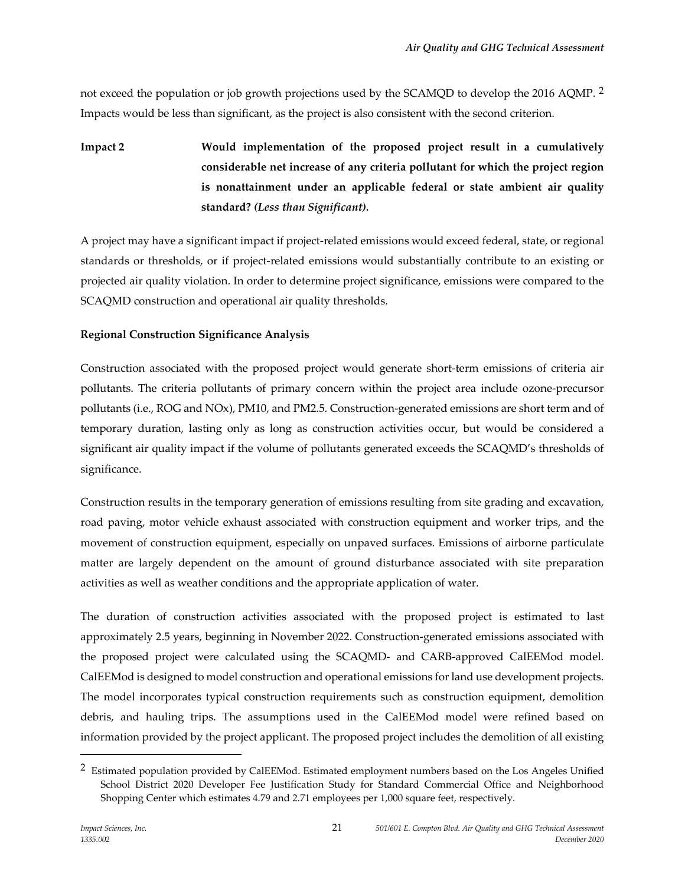not exceed the population or job growth projections used by the SCAMQD to develop the 2016 AQMP. [2](#page-20-0) Impacts would be less than significant, as the project is also consistent with the second criterion.

**Impact 2 Would implementation of the proposed project result in a cumulatively considerable net increase of any criteria pollutant for which the project region is nonattainment under an applicable federal or state ambient air quality standard?** *(Less than Significant).*

A project may have a significant impact if project-related emissions would exceed federal, state, or regional standards or thresholds, or if project-related emissions would substantially contribute to an existing or projected air quality violation. In order to determine project significance, emissions were compared to the SCAQMD construction and operational air quality thresholds.

## **Regional Construction Significance Analysis**

Construction associated with the proposed project would generate short-term emissions of criteria air pollutants. The criteria pollutants of primary concern within the project area include ozone-precursor pollutants (i.e., ROG and NOx), PM10, and PM2.5. Construction-generated emissions are short term and of temporary duration, lasting only as long as construction activities occur, but would be considered a significant air quality impact if the volume of pollutants generated exceeds the SCAQMD's thresholds of significance.

Construction results in the temporary generation of emissions resulting from site grading and excavation, road paving, motor vehicle exhaust associated with construction equipment and worker trips, and the movement of construction equipment, especially on unpaved surfaces. Emissions of airborne particulate matter are largely dependent on the amount of ground disturbance associated with site preparation activities as well as weather conditions and the appropriate application of water.

The duration of construction activities associated with the proposed project is estimated to last approximately 2.5 years, beginning in November 2022. Construction-generated emissions associated with the proposed project were calculated using the SCAQMD- and CARB-approved CalEEMod model. CalEEMod is designed to model construction and operational emissions for land use development projects. The model incorporates typical construction requirements such as construction equipment, demolition debris, and hauling trips. The assumptions used in the CalEEMod model were refined based on information provided by the project applicant. The proposed project includes the demolition of all existing

<span id="page-20-0"></span><sup>&</sup>lt;sup>2</sup> Estimated population provided by CalEEMod. Estimated employment numbers based on the Los Angeles Unified School District 2020 Developer Fee Justification Study for Standard Commercial Office and Neighborhood Shopping Center which estimates 4.79 and 2.71 employees per 1,000 square feet, respectively.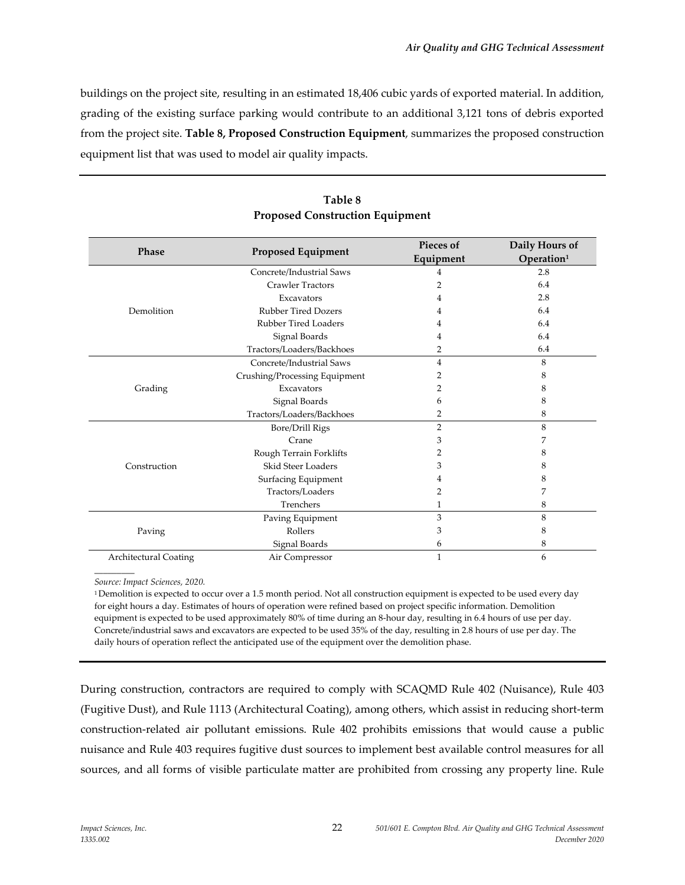buildings on the project site, resulting in an estimated 18,406 cubic yards of exported material. In addition, grading of the existing surface parking would contribute to an additional 3,121 tons of debris exported from the project site. **Table 8, Proposed Construction Equipment**, summarizes the proposed construction equipment list that was used to model air quality impacts.

| Phase                        | <b>Proposed Equipment</b>     | Pieces of<br>Equipment | Daily Hours of<br>Operation <sup>1</sup> |
|------------------------------|-------------------------------|------------------------|------------------------------------------|
|                              | Concrete/Industrial Saws      | 4                      | 2.8                                      |
|                              | <b>Crawler Tractors</b>       | 2                      | 6.4                                      |
|                              | Excavators                    | 4                      | 2.8                                      |
| Demolition                   | <b>Rubber Tired Dozers</b>    | 4                      | 6.4                                      |
|                              | Rubber Tired Loaders          | 4                      | 6.4                                      |
|                              | Signal Boards                 | 4                      | 6.4                                      |
|                              | Tractors/Loaders/Backhoes     | 2                      | 6.4                                      |
|                              | Concrete/Industrial Saws      | $\overline{4}$         | 8                                        |
|                              | Crushing/Processing Equipment | 2                      | 8                                        |
| Grading                      | Excavators                    | 2                      | 8                                        |
|                              | Signal Boards                 | 6                      | 8                                        |
|                              | Tractors/Loaders/Backhoes     | 2                      | 8                                        |
|                              | Bore/Drill Rigs               | $\overline{2}$         | 8                                        |
|                              | Crane                         | 3                      | 7                                        |
|                              | Rough Terrain Forklifts       | 2                      | 8                                        |
| Construction                 | Skid Steer Loaders            | 3                      | 8                                        |
|                              | Surfacing Equipment           | 4                      | 8                                        |
|                              | Tractors/Loaders              | 2                      | 7                                        |
|                              | Trenchers                     | 1                      | 8                                        |
| Paving                       | Paving Equipment              | 3                      | 8                                        |
|                              | Rollers                       | 3                      | 8                                        |
|                              | Signal Boards                 | 6                      | 8                                        |
| <b>Architectural Coating</b> | Air Compressor                | $\mathbf{1}$           | 6                                        |

## **Table 8 Proposed Construction Equipment**

*\_\_\_\_\_\_\_\_\_ Source: Impact Sciences, 2020.*

1 Demolition is expected to occur over a 1.5 month period. Not all construction equipment is expected to be used every day for eight hours a day. Estimates of hours of operation were refined based on project specific information. Demolition equipment is expected to be used approximately 80% of time during an 8-hour day, resulting in 6.4 hours of use per day. Concrete/industrial saws and excavators are expected to be used 35% of the day, resulting in 2.8 hours of use per day. The daily hours of operation reflect the anticipated use of the equipment over the demolition phase.

During construction, contractors are required to comply with SCAQMD Rule 402 (Nuisance), Rule 403 (Fugitive Dust), and Rule 1113 (Architectural Coating), among others, which assist in reducing short-term construction-related air pollutant emissions. Rule 402 prohibits emissions that would cause a public nuisance and Rule 403 requires fugitive dust sources to implement best available control measures for all sources, and all forms of visible particulate matter are prohibited from crossing any property line. Rule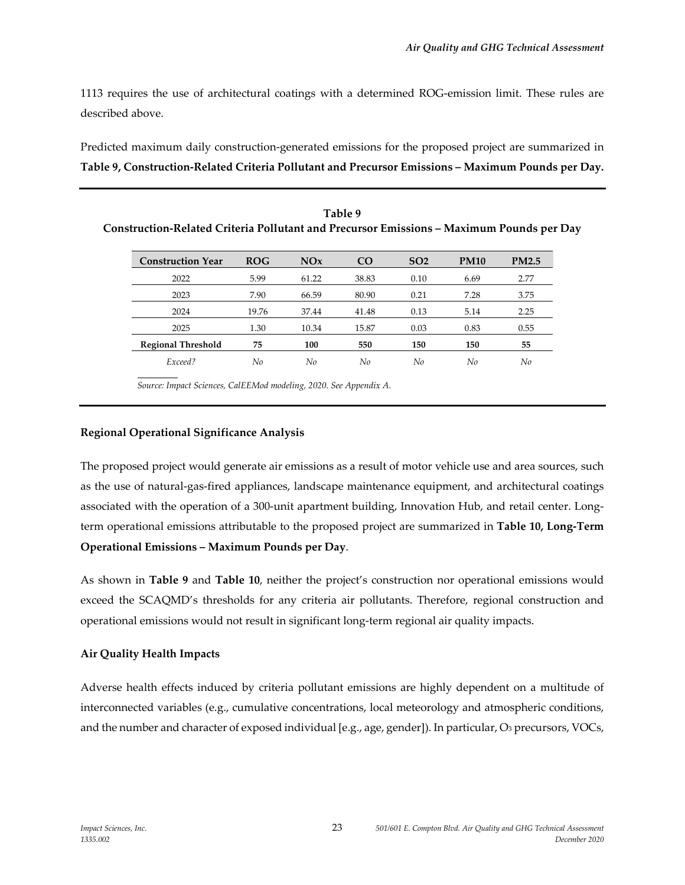1113 requires the use of architectural coatings with a determined ROG-emission limit. These rules are described above.

Predicted maximum daily construction-generated emissions for the proposed project are summarized in **Table 9, Construction-Related Criteria Pollutant and Precursor Emissions – Maximum Pounds per Day.**

| Construction-Related Criteria Pollutant and Precursor Emissions - Maximum Pounds per Day |            |       | Table 9         |                 |             |              |
|------------------------------------------------------------------------------------------|------------|-------|-----------------|-----------------|-------------|--------------|
| <b>Construction Year</b>                                                                 | <b>ROG</b> | NOx   | CO <sub>1</sub> | SO <sub>2</sub> | <b>PM10</b> | <b>PM2.5</b> |
| 2022                                                                                     | 5.99       | 61.22 | 38.83           | 0.10            | 6.69        | 2.77         |
| 2023                                                                                     | 7.90       | 66.59 | 80.90           | 0.21            | 7.28        | 3.75         |
| 2024                                                                                     | 19.76      | 37.44 | 41.48           | 0.13            | 5.14        | 2.25         |
| 2025                                                                                     | 1.30       | 10.34 | 15.87           | 0.03            | 0.83        | 0.55         |
| <b>Regional Threshold</b>                                                                | 75         | 100   | 550             | 150             | 150         | 55           |
| Exceed?                                                                                  | No         | No    | No              | No              | No          | No           |

*Source: Impact Sciences, CalEEMod modeling, 2020. See Appendix A.*

#### **Regional Operational Significance Analysis**

The proposed project would generate air emissions as a result of motor vehicle use and area sources, such as the use of natural-gas-fired appliances, landscape maintenance equipment, and architectural coatings associated with the operation of a 300-unit apartment building, Innovation Hub, and retail center. Longterm operational emissions attributable to the proposed project are summarized in **Table 10, Long-Term Operational Emissions – Maximum Pounds per Day**.

As shown in **Table 9** and **Table 10**, neither the project's construction nor operational emissions would exceed the SCAQMD's thresholds for any criteria air pollutants. Therefore, regional construction and operational emissions would not result in significant long-term regional air quality impacts.

#### **Air Quality Health Impacts**

Adverse health effects induced by criteria pollutant emissions are highly dependent on a multitude of interconnected variables (e.g., cumulative concentrations, local meteorology and atmospheric conditions, and the number and character of exposed individual [e.g., age, gender]). In particular, O<sub>3</sub> precursors, VOCs,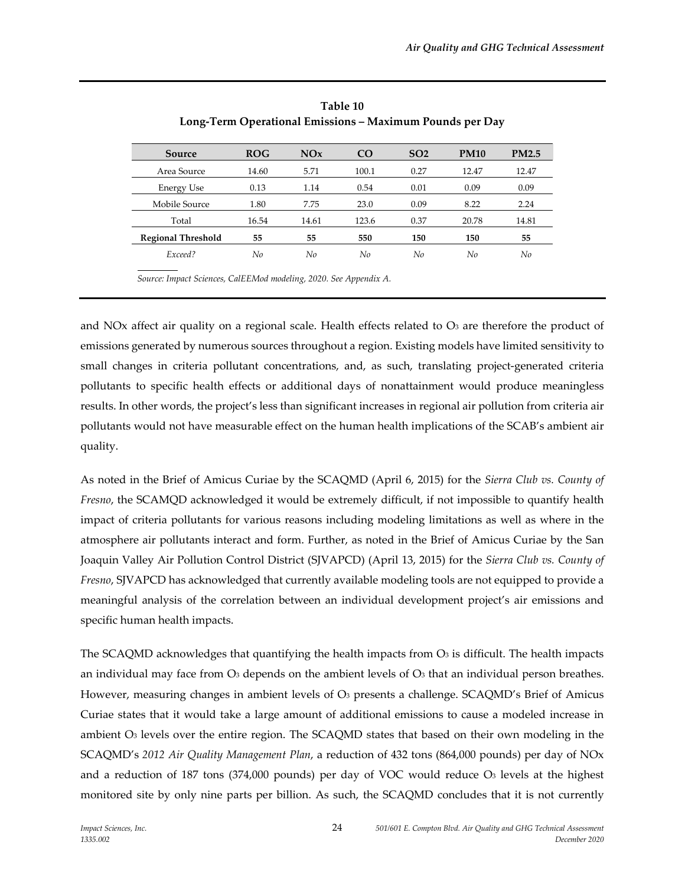| Source                    | <b>ROG</b> | NOx   | C <sub>O</sub> | SO <sub>2</sub> | <b>PM10</b> | <b>PM2.5</b> |
|---------------------------|------------|-------|----------------|-----------------|-------------|--------------|
| Area Source               | 14.60      | 5.71  | 100.1          | 0.27            | 12.47       | 12.47        |
| <b>Energy Use</b>         | 0.13       | 1.14  | 0.54           | 0.01            | 0.09        | 0.09         |
| Mobile Source             | 1.80       | 7.75  | 23.0           | 0.09            | 8.22        | 2.24         |
| Total                     | 16.54      | 14.61 | 123.6          | 0.37            | 20.78       | 14.81        |
| <b>Regional Threshold</b> | 55         | 55    | 550            | 150             | 150         | 55           |
| Exceed?                   | No         | No    | No             | No              | No          | No           |

**Table 10 Long-Term Operational Emissions – Maximum Pounds per Day**

*Source: Impact Sciences, CalEEMod modeling, 2020. See Appendix A.*

and NOx affect air quality on a regional scale. Health effects related to  $O<sub>3</sub>$  are therefore the product of emissions generated by numerous sources throughout a region. Existing models have limited sensitivity to small changes in criteria pollutant concentrations, and, as such, translating project-generated criteria pollutants to specific health effects or additional days of nonattainment would produce meaningless results. In other words, the project's less than significant increases in regional air pollution from criteria air pollutants would not have measurable effect on the human health implications of the SCAB's ambient air quality.

As noted in the Brief of Amicus Curiae by the SCAQMD (April 6, 2015) for the *Sierra Club vs. County of Fresno*, the SCAMQD acknowledged it would be extremely difficult, if not impossible to quantify health impact of criteria pollutants for various reasons including modeling limitations as well as where in the atmosphere air pollutants interact and form. Further, as noted in the Brief of Amicus Curiae by the San Joaquin Valley Air Pollution Control District (SJVAPCD) (April 13, 2015) for the *Sierra Club vs. County of Fresno*, SJVAPCD has acknowledged that currently available modeling tools are not equipped to provide a meaningful analysis of the correlation between an individual development project's air emissions and specific human health impacts.

The SCAQMD acknowledges that quantifying the health impacts from  $\overline{O_3}$  is difficult. The health impacts an individual may face from  $\mathbb{O}_3$  depends on the ambient levels of  $\mathbb{O}_3$  that an individual person breathes. However, measuring changes in ambient levels of O<sub>3</sub> presents a challenge. SCAQMD's Brief of Amicus Curiae states that it would take a large amount of additional emissions to cause a modeled increase in ambient O3 levels over the entire region. The SCAQMD states that based on their own modeling in the SCAQMD's *2012 Air Quality Management Plan*, a reduction of 432 tons (864,000 pounds) per day of NOx and a reduction of  $187$  tons  $(374,000$  pounds) per day of VOC would reduce  $O<sub>3</sub>$  levels at the highest monitored site by only nine parts per billion. As such, the SCAQMD concludes that it is not currently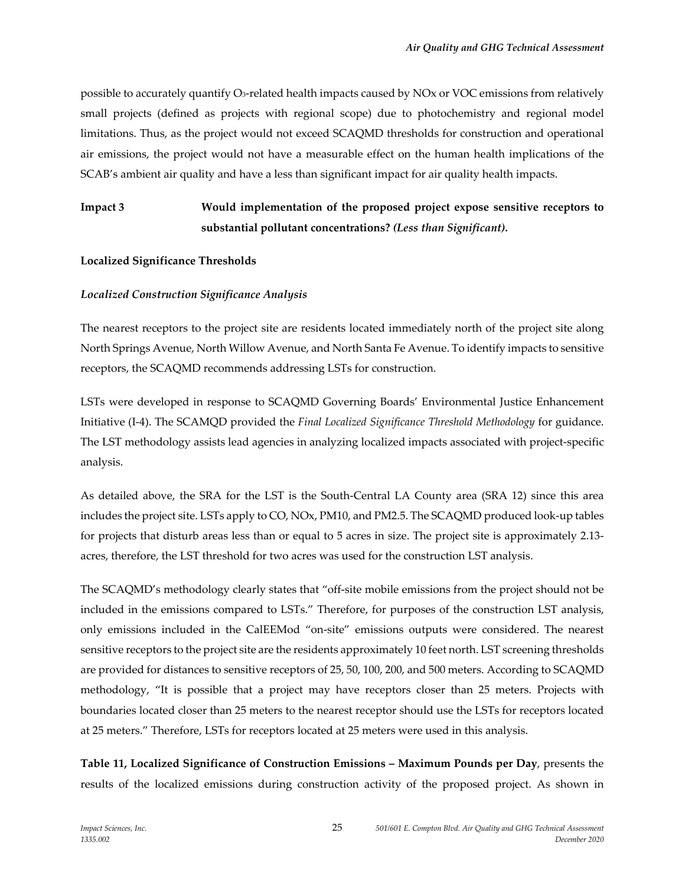possible to accurately quantify O3-related health impacts caused by NOx or VOC emissions from relatively small projects (defined as projects with regional scope) due to photochemistry and regional model limitations. Thus, as the project would not exceed SCAQMD thresholds for construction and operational air emissions, the project would not have a measurable effect on the human health implications of the SCAB's ambient air quality and have a less than significant impact for air quality health impacts.

## **Impact 3 Would implementation of the proposed project expose sensitive receptors to substantial pollutant concentrations?** *(Less than Significant).*

#### **Localized Significance Thresholds**

#### *Localized Construction Significance Analysis*

The nearest receptors to the project site are residents located immediately north of the project site along North Springs Avenue, North Willow Avenue, and North Santa Fe Avenue. To identify impacts to sensitive receptors, the SCAQMD recommends addressing LSTs for construction.

LSTs were developed in response to SCAQMD Governing Boards' Environmental Justice Enhancement Initiative (I-4). The SCAMQD provided the *Final Localized Significance Threshold Methodology* for guidance. The LST methodology assists lead agencies in analyzing localized impacts associated with project-specific analysis.

As detailed above, the SRA for the LST is the South-Central LA County area (SRA 12) since this area includes the project site. LSTs apply to CO, NOx, PM10, and PM2.5. The SCAQMD produced look-up tables for projects that disturb areas less than or equal to 5 acres in size. The project site is approximately 2.13 acres, therefore, the LST threshold for two acres was used for the construction LST analysis.

The SCAQMD's methodology clearly states that "off-site mobile emissions from the project should not be included in the emissions compared to LSTs." Therefore, for purposes of the construction LST analysis, only emissions included in the CalEEMod "on-site" emissions outputs were considered. The nearest sensitive receptors to the project site are the residents approximately 10 feet north. LST screening thresholds are provided for distances to sensitive receptors of 25, 50, 100, 200, and 500 meters. According to SCAQMD methodology, "It is possible that a project may have receptors closer than 25 meters. Projects with boundaries located closer than 25 meters to the nearest receptor should use the LSTs for receptors located at 25 meters." Therefore, LSTs for receptors located at 25 meters were used in this analysis.

**Table 11, Localized Significance of Construction Emissions – Maximum Pounds per Day**, presents the results of the localized emissions during construction activity of the proposed project. As shown in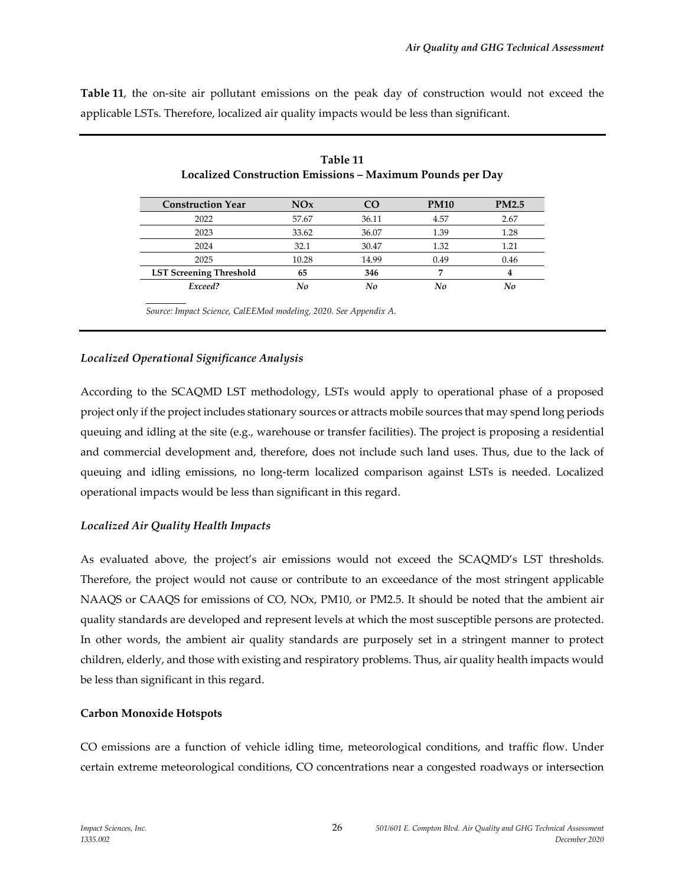**Table 11**, the on-site air pollutant emissions on the peak day of construction would not exceed the applicable LSTs. Therefore, localized air quality impacts would be less than significant.

| <b>Construction Year</b>       | NOx   | <b>CO</b> | <b>PM10</b> | <b>PM2.5</b> |
|--------------------------------|-------|-----------|-------------|--------------|
| 2022                           | 57.67 | 36.11     | 4.57        | 2.67         |
| 2023                           | 33.62 | 36.07     | 1.39        | 1.28         |
| 2024                           | 32.1  | 30.47     | 1.32        | 1.21         |
| 2025                           | 10.28 | 14.99     | 0.49        | 0.46         |
| <b>LST Screening Threshold</b> | 65    | 346       |             | 4            |
| Exceed?                        | No    | No        |             | No           |

| Table 11                                                         |
|------------------------------------------------------------------|
| <b>Localized Construction Emissions - Maximum Pounds per Day</b> |

*Source: Impact Science, CalEEMod modeling, 2020. See Appendix A.*

#### *Localized Operational Significance Analysis*

According to the SCAQMD LST methodology, LSTs would apply to operational phase of a proposed project only if the project includes stationary sources or attracts mobile sources that may spend long periods queuing and idling at the site (e.g., warehouse or transfer facilities). The project is proposing a residential and commercial development and, therefore, does not include such land uses. Thus, due to the lack of queuing and idling emissions, no long-term localized comparison against LSTs is needed. Localized operational impacts would be less than significant in this regard.

### *Localized Air Quality Health Impacts*

As evaluated above, the project's air emissions would not exceed the SCAQMD's LST thresholds. Therefore, the project would not cause or contribute to an exceedance of the most stringent applicable NAAQS or CAAQS for emissions of CO, NOx, PM10, or PM2.5. It should be noted that the ambient air quality standards are developed and represent levels at which the most susceptible persons are protected. In other words, the ambient air quality standards are purposely set in a stringent manner to protect children, elderly, and those with existing and respiratory problems. Thus, air quality health impacts would be less than significant in this regard.

### **Carbon Monoxide Hotspots**

CO emissions are a function of vehicle idling time, meteorological conditions, and traffic flow. Under certain extreme meteorological conditions, CO concentrations near a congested roadways or intersection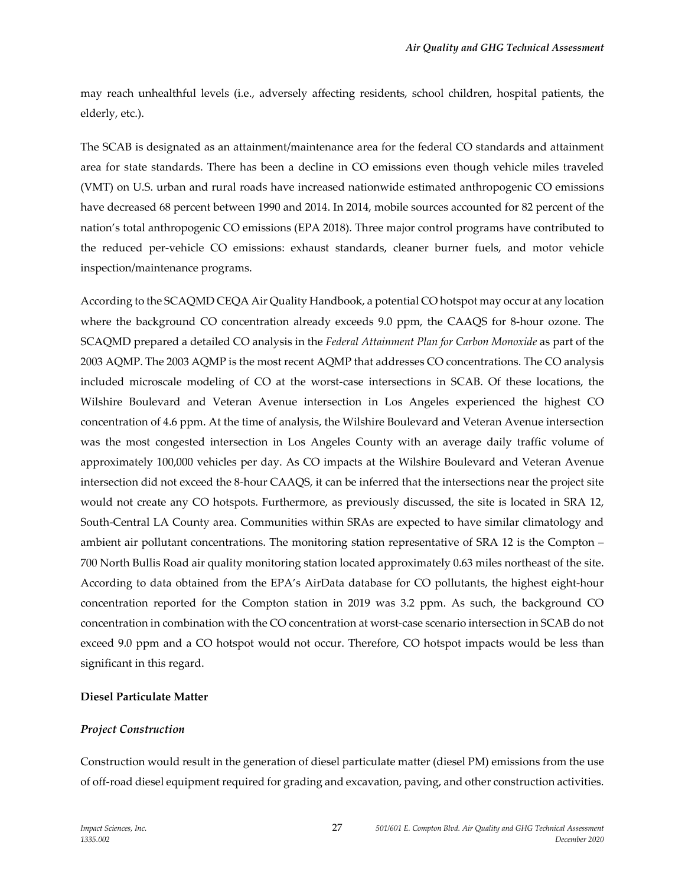may reach unhealthful levels (i.e., adversely affecting residents, school children, hospital patients, the elderly, etc.).

The SCAB is designated as an attainment/maintenance area for the federal CO standards and attainment area for state standards. There has been a decline in CO emissions even though vehicle miles traveled (VMT) on U.S. urban and rural roads have increased nationwide estimated anthropogenic CO emissions have decreased 68 percent between 1990 and 2014. In 2014, mobile sources accounted for 82 percent of the nation's total anthropogenic CO emissions (EPA 2018). Three major control programs have contributed to the reduced per-vehicle CO emissions: exhaust standards, cleaner burner fuels, and motor vehicle inspection/maintenance programs.

According to the SCAQMD CEQA Air Quality Handbook, a potential CO hotspot may occur at any location where the background CO concentration already exceeds 9.0 ppm, the CAAQS for 8-hour ozone. The SCAQMD prepared a detailed CO analysis in the *Federal Attainment Plan for Carbon Monoxide* as part of the 2003 AQMP. The 2003 AQMP is the most recent AQMP that addresses CO concentrations. The CO analysis included microscale modeling of CO at the worst-case intersections in SCAB. Of these locations, the Wilshire Boulevard and Veteran Avenue intersection in Los Angeles experienced the highest CO concentration of 4.6 ppm. At the time of analysis, the Wilshire Boulevard and Veteran Avenue intersection was the most congested intersection in Los Angeles County with an average daily traffic volume of approximately 100,000 vehicles per day. As CO impacts at the Wilshire Boulevard and Veteran Avenue intersection did not exceed the 8-hour CAAQS, it can be inferred that the intersections near the project site would not create any CO hotspots. Furthermore, as previously discussed, the site is located in SRA 12, South-Central LA County area. Communities within SRAs are expected to have similar climatology and ambient air pollutant concentrations. The monitoring station representative of SRA 12 is the Compton – 700 North Bullis Road air quality monitoring station located approximately 0.63 miles northeast of the site. According to data obtained from the EPA's AirData database for CO pollutants, the highest eight-hour concentration reported for the Compton station in 2019 was 3.2 ppm. As such, the background CO concentration in combination with the CO concentration at worst-case scenario intersection in SCAB do not exceed 9.0 ppm and a CO hotspot would not occur. Therefore, CO hotspot impacts would be less than significant in this regard.

### **Diesel Particulate Matter**

#### *Project Construction*

Construction would result in the generation of diesel particulate matter (diesel PM) emissions from the use of off-road diesel equipment required for grading and excavation, paving, and other construction activities.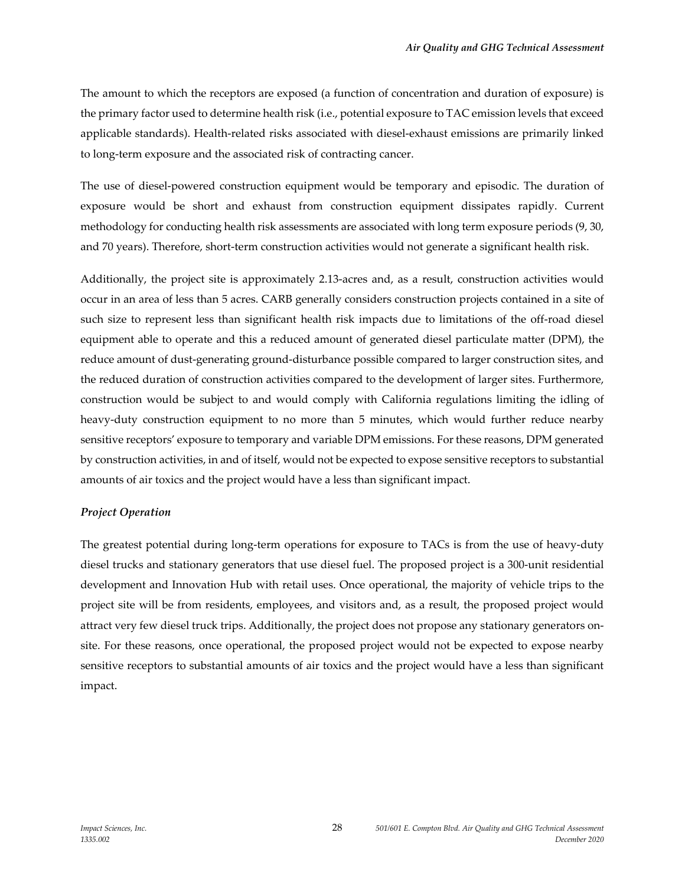The amount to which the receptors are exposed (a function of concentration and duration of exposure) is the primary factor used to determine health risk (i.e., potential exposure to TAC emission levels that exceed applicable standards). Health-related risks associated with diesel-exhaust emissions are primarily linked to long-term exposure and the associated risk of contracting cancer.

The use of diesel-powered construction equipment would be temporary and episodic. The duration of exposure would be short and exhaust from construction equipment dissipates rapidly. Current methodology for conducting health risk assessments are associated with long term exposure periods (9, 30, and 70 years). Therefore, short-term construction activities would not generate a significant health risk.

Additionally, the project site is approximately 2.13-acres and, as a result, construction activities would occur in an area of less than 5 acres. CARB generally considers construction projects contained in a site of such size to represent less than significant health risk impacts due to limitations of the off-road diesel equipment able to operate and this a reduced amount of generated diesel particulate matter (DPM), the reduce amount of dust-generating ground-disturbance possible compared to larger construction sites, and the reduced duration of construction activities compared to the development of larger sites. Furthermore, construction would be subject to and would comply with California regulations limiting the idling of heavy-duty construction equipment to no more than 5 minutes, which would further reduce nearby sensitive receptors' exposure to temporary and variable DPM emissions. For these reasons, DPM generated by construction activities, in and of itself, would not be expected to expose sensitive receptors to substantial amounts of air toxics and the project would have a less than significant impact.

#### *Project Operation*

The greatest potential during long-term operations for exposure to TACs is from the use of heavy-duty diesel trucks and stationary generators that use diesel fuel. The proposed project is a 300-unit residential development and Innovation Hub with retail uses. Once operational, the majority of vehicle trips to the project site will be from residents, employees, and visitors and, as a result, the proposed project would attract very few diesel truck trips. Additionally, the project does not propose any stationary generators onsite. For these reasons, once operational, the proposed project would not be expected to expose nearby sensitive receptors to substantial amounts of air toxics and the project would have a less than significant impact.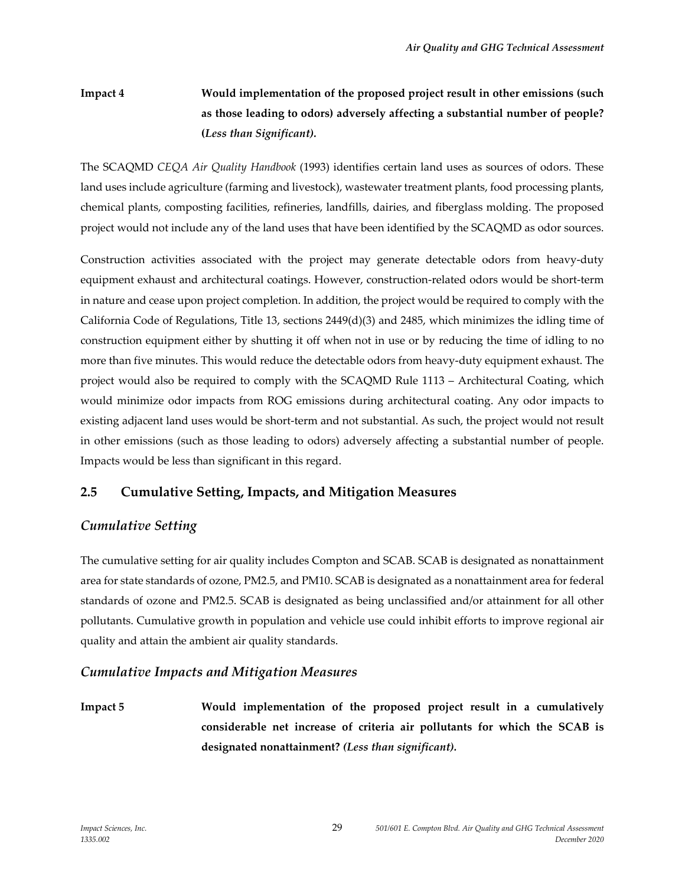## **Impact 4 Would implementation of the proposed project result in other emissions (such as those leading to odors) adversely affecting a substantial number of people? (***Less than Significant).*

The SCAQMD *CEQA Air Quality Handbook* (1993) identifies certain land uses as sources of odors. These land uses include agriculture (farming and livestock), wastewater treatment plants, food processing plants, chemical plants, composting facilities, refineries, landfills, dairies, and fiberglass molding. The proposed project would not include any of the land uses that have been identified by the SCAQMD as odor sources.

Construction activities associated with the project may generate detectable odors from heavy-duty equipment exhaust and architectural coatings. However, construction-related odors would be short-term in nature and cease upon project completion. In addition, the project would be required to comply with the California Code of Regulations, Title 13, sections 2449(d)(3) and 2485, which minimizes the idling time of construction equipment either by shutting it off when not in use or by reducing the time of idling to no more than five minutes. This would reduce the detectable odors from heavy-duty equipment exhaust. The project would also be required to comply with the SCAQMD Rule 1113 – Architectural Coating, which would minimize odor impacts from ROG emissions during architectural coating. Any odor impacts to existing adjacent land uses would be short-term and not substantial. As such, the project would not result in other emissions (such as those leading to odors) adversely affecting a substantial number of people. Impacts would be less than significant in this regard.

## **2.5 Cumulative Setting, Impacts, and Mitigation Measures**

## *Cumulative Setting*

The cumulative setting for air quality includes Compton and SCAB. SCAB is designated as nonattainment area for state standards of ozone, PM2.5, and PM10. SCAB is designated as a nonattainment area for federal standards of ozone and PM2.5. SCAB is designated as being unclassified and/or attainment for all other pollutants. Cumulative growth in population and vehicle use could inhibit efforts to improve regional air quality and attain the ambient air quality standards.

## *Cumulative Impacts and Mitigation Measures*

**Impact 5 Would implementation of the proposed project result in a cumulatively considerable net increase of criteria air pollutants for which the SCAB is designated nonattainment?** *(Less than significant).*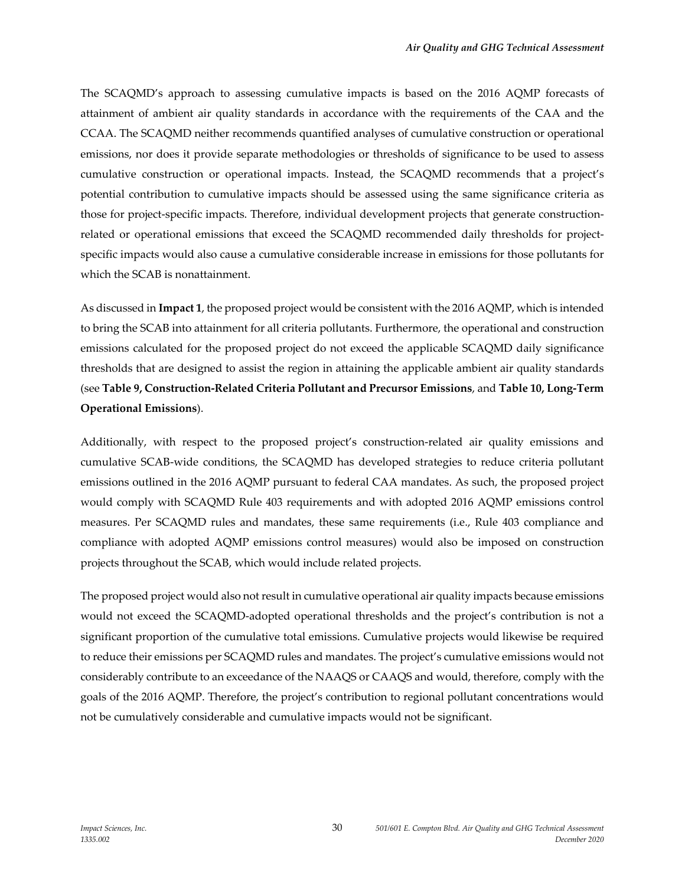The SCAQMD's approach to assessing cumulative impacts is based on the 2016 AQMP forecasts of attainment of ambient air quality standards in accordance with the requirements of the CAA and the CCAA. The SCAQMD neither recommends quantified analyses of cumulative construction or operational emissions, nor does it provide separate methodologies or thresholds of significance to be used to assess cumulative construction or operational impacts. Instead, the SCAQMD recommends that a project's potential contribution to cumulative impacts should be assessed using the same significance criteria as those for project-specific impacts. Therefore, individual development projects that generate constructionrelated or operational emissions that exceed the SCAQMD recommended daily thresholds for projectspecific impacts would also cause a cumulative considerable increase in emissions for those pollutants for which the SCAB is nonattainment.

As discussed in **Impact 1**, the proposed project would be consistent with the 2016 AQMP, which is intended to bring the SCAB into attainment for all criteria pollutants. Furthermore, the operational and construction emissions calculated for the proposed project do not exceed the applicable SCAQMD daily significance thresholds that are designed to assist the region in attaining the applicable ambient air quality standards (see **Table 9, Construction-Related Criteria Pollutant and Precursor Emissions**, and **Table 10, Long-Term Operational Emissions**).

Additionally, with respect to the proposed project's construction-related air quality emissions and cumulative SCAB-wide conditions, the SCAQMD has developed strategies to reduce criteria pollutant emissions outlined in the 2016 AQMP pursuant to federal CAA mandates. As such, the proposed project would comply with SCAQMD Rule 403 requirements and with adopted 2016 AQMP emissions control measures. Per SCAQMD rules and mandates, these same requirements (i.e., Rule 403 compliance and compliance with adopted AQMP emissions control measures) would also be imposed on construction projects throughout the SCAB, which would include related projects.

The proposed project would also not result in cumulative operational air quality impacts because emissions would not exceed the SCAQMD-adopted operational thresholds and the project's contribution is not a significant proportion of the cumulative total emissions. Cumulative projects would likewise be required to reduce their emissions per SCAQMD rules and mandates. The project's cumulative emissions would not considerably contribute to an exceedance of the NAAQS or CAAQS and would, therefore, comply with the goals of the 2016 AQMP. Therefore, the project's contribution to regional pollutant concentrations would not be cumulatively considerable and cumulative impacts would not be significant.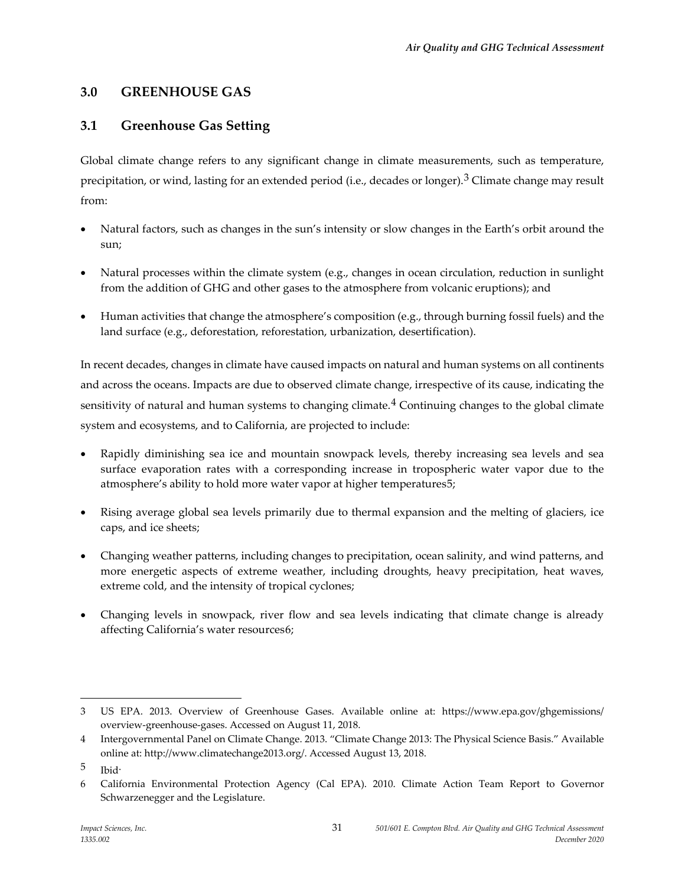## **3.0 GREENHOUSE GAS**

## **3.1 Greenhouse Gas Setting**

Global climate change refers to any significant change in climate measurements, such as temperature, precipitation, or wind, lasting for an extended period (i.e., decades or longer).[3](#page-30-0) Climate change may result from:

- Natural factors, such as changes in the sun's intensity or slow changes in the Earth's orbit around the sun;
- Natural processes within the climate system (e.g., changes in ocean circulation, reduction in sunlight from the addition of GHG and other gases to the atmosphere from volcanic eruptions); and
- Human activities that change the atmosphere's composition (e.g., through burning fossil fuels) and the land surface (e.g., deforestation, reforestation, urbanization, desertification).

In recent decades, changes in climate have caused impacts on natural and human systems on all continents and across the oceans. Impacts are due to observed climate change, irrespective of its cause, indicating the sensitivity of natural and human systems to changing climate.<sup>[4](#page-30-1)</sup> Continuing changes to the global climate system and ecosystems, and to California, are projected to include:

- Rapidly diminishing sea ice and mountain snowpack levels, thereby increasing sea levels and sea surface evaporation rates with a corresponding increase in tropospheric water vapor due to the atmosphere's ability to hold more water vapor at higher temperatures[5;](#page-30-2)
- Rising average global sea levels primarily due to thermal expansion and the melting of glaciers, ice caps, and ice sheets;
- Changing weather patterns, including changes to precipitation, ocean salinity, and wind patterns, and more energetic aspects of extreme weather, including droughts, heavy precipitation, heat waves, extreme cold, and the intensity of tropical cyclones;
- Changing levels in snowpack, river flow and sea levels indicating that climate change is already affecting California's water resources[6](#page-30-3);

<span id="page-30-0"></span><sup>3</sup> US EPA. 2013. Overview of Greenhouse Gases. Available online at: https://www.epa.gov/ghgemissions/ overview-greenhouse-gases. Accessed on August 11, 2018.

<span id="page-30-1"></span><sup>4</sup> Intergovernmental Panel on Climate Change. 2013. "Climate Change 2013: The Physical Science Basis." Available online at: [http://www.climatechange2013.org/.](http://www.climatechange2013.org/) Accessed August 13, 2018.

<span id="page-30-2"></span><sup>5</sup> Ibid.

<span id="page-30-3"></span><sup>6</sup> California Environmental Protection Agency (Cal EPA). 2010. Climate Action Team Report to Governor Schwarzenegger and the Legislature.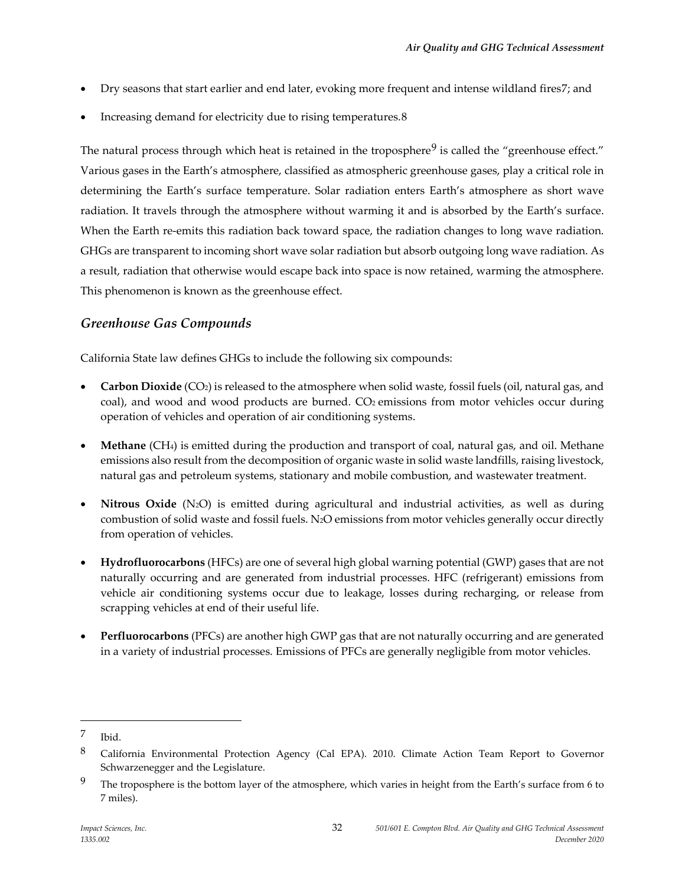- Dry seasons that start earlier and end later, evoking more frequent and intense wildland fires[7](#page-31-0); and
- Increasing demand for electricity due to rising temperatures.[8](#page-31-1)

The natural process through which heat is retained in the troposphere<sup>[9](#page-31-2)</sup> is called the "greenhouse effect." Various gases in the Earth's atmosphere, classified as atmospheric greenhouse gases, play a critical role in determining the Earth's surface temperature. Solar radiation enters Earth's atmosphere as short wave radiation. It travels through the atmosphere without warming it and is absorbed by the Earth's surface. When the Earth re-emits this radiation back toward space, the radiation changes to long wave radiation. GHGs are transparent to incoming short wave solar radiation but absorb outgoing long wave radiation. As a result, radiation that otherwise would escape back into space is now retained, warming the atmosphere. This phenomenon is known as the greenhouse effect.

## *Greenhouse Gas Compounds*

California State law defines GHGs to include the following six compounds:

- **Carbon Dioxide** (CO2) is released to the atmosphere when solid waste, fossil fuels (oil, natural gas, and coal), and wood and wood products are burned. CO<sub>2</sub> emissions from motor vehicles occur during operation of vehicles and operation of air conditioning systems.
- **Methane** (CH4) is emitted during the production and transport of coal, natural gas, and oil. Methane emissions also result from the decomposition of organic waste in solid waste landfills, raising livestock, natural gas and petroleum systems, stationary and mobile combustion, and wastewater treatment.
- **Nitrous Oxide** (N<sub>2</sub>O) is emitted during agricultural and industrial activities, as well as during combustion of solid waste and fossil fuels. N2O emissions from motor vehicles generally occur directly from operation of vehicles.
- **Hydrofluorocarbons** (HFCs) are one of several high global warning potential (GWP) gases that are not naturally occurring and are generated from industrial processes. HFC (refrigerant) emissions from vehicle air conditioning systems occur due to leakage, losses during recharging, or release from scrapping vehicles at end of their useful life.
- **Perfluorocarbons** (PFCs) are another high GWP gas that are not naturally occurring and are generated in a variety of industrial processes. Emissions of PFCs are generally negligible from motor vehicles.

<span id="page-31-0"></span><sup>7</sup> Ibid.

<span id="page-31-1"></span><sup>8</sup> California Environmental Protection Agency (Cal EPA). 2010. Climate Action Team Report to Governor Schwarzenegger and the Legislature.

<span id="page-31-2"></span><sup>&</sup>lt;sup>9</sup> The troposphere is the bottom layer of the atmosphere, which varies in height from the Earth's surface from 6 to 7 miles).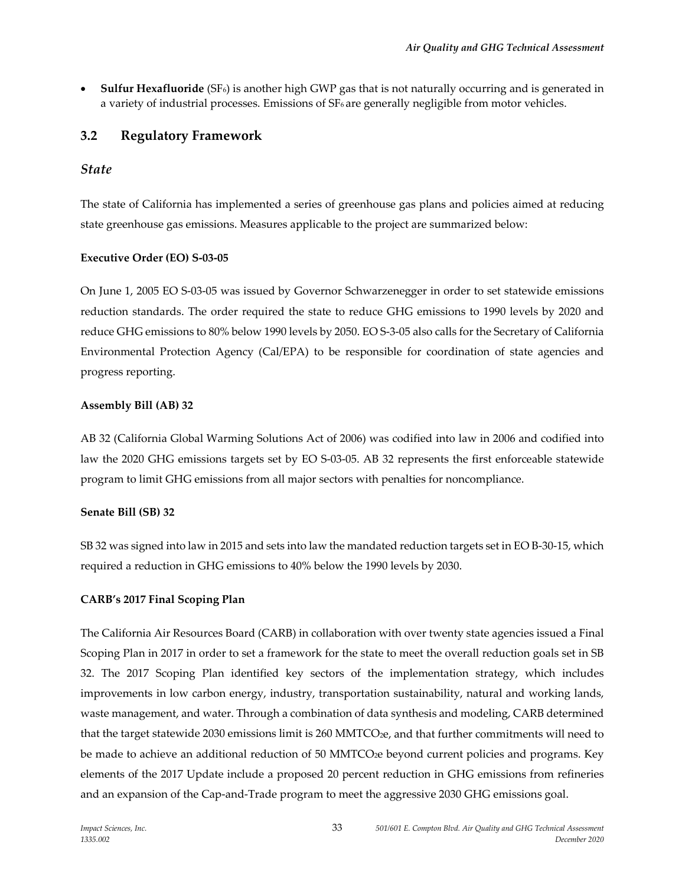• **Sulfur Hexafluoride** (SF6) is another high GWP gas that is not naturally occurring and is generated in a variety of industrial processes. Emissions of SF<sub>6</sub> are generally negligible from motor vehicles.

## **3.2 Regulatory Framework**

### *State*

The state of California has implemented a series of greenhouse gas plans and policies aimed at reducing state greenhouse gas emissions. Measures applicable to the project are summarized below:

### **Executive Order (EO) S-03-05**

On June 1, 2005 EO S-03-05 was issued by Governor Schwarzenegger in order to set statewide emissions reduction standards. The order required the state to reduce GHG emissions to 1990 levels by 2020 and reduce GHG emissions to 80% below 1990 levels by 2050. EO S-3-05 also calls for the Secretary of California Environmental Protection Agency (Cal/EPA) to be responsible for coordination of state agencies and progress reporting.

#### **Assembly Bill (AB) 32**

AB 32 (California Global Warming Solutions Act of 2006) was codified into law in 2006 and codified into law the 2020 GHG emissions targets set by EO S-03-05. AB 32 represents the first enforceable statewide program to limit GHG emissions from all major sectors with penalties for noncompliance.

### **Senate Bill (SB) 32**

SB 32 was signed into law in 2015 and sets into law the mandated reduction targets set in EO B-30-15, which required a reduction in GHG emissions to 40% below the 1990 levels by 2030.

### **CARB's 2017 Final Scoping Plan**

The California Air Resources Board (CARB) in collaboration with over twenty state agencies issued a Final Scoping Plan in 2017 in order to set a framework for the state to meet the overall reduction goals set in SB 32. The 2017 Scoping Plan identified key sectors of the implementation strategy, which includes improvements in low carbon energy, industry, transportation sustainability, natural and working lands, waste management, and water. Through a combination of data synthesis and modeling, CARB determined that the target statewide 2030 emissions limit is 260 MMTCO<sub>2</sub>e, and that further commitments will need to be made to achieve an additional reduction of 50 MMTCO<sub>2</sub>e beyond current policies and programs. Key elements of the 2017 Update include a proposed 20 percent reduction in GHG emissions from refineries and an expansion of the Cap-and-Trade program to meet the aggressive 2030 GHG emissions goal.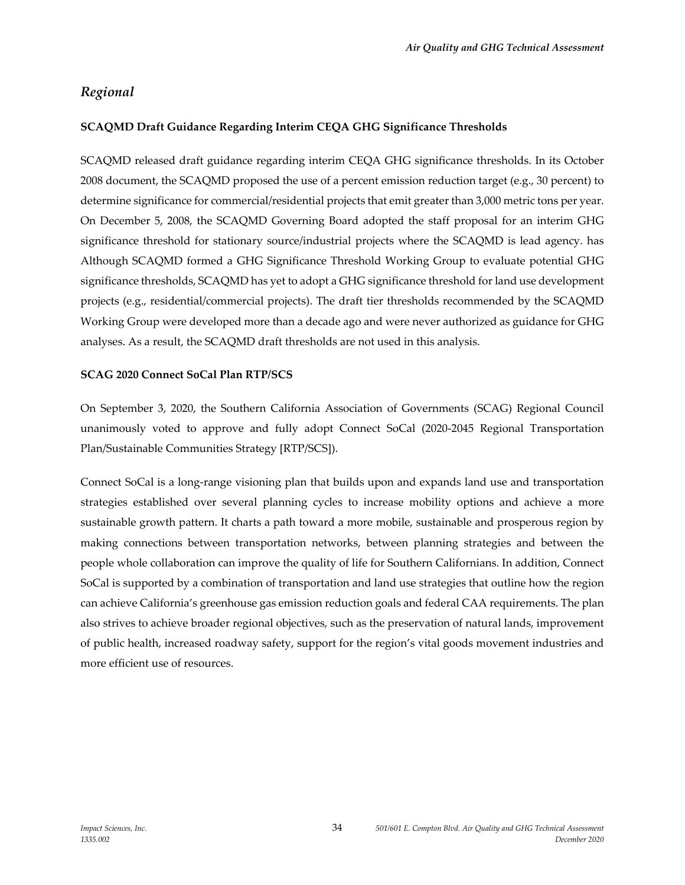## *Regional*

### **SCAQMD Draft Guidance Regarding Interim CEQA GHG Significance Thresholds**

SCAQMD released draft guidance regarding interim CEQA GHG significance thresholds. In its October 2008 document, the SCAQMD proposed the use of a percent emission reduction target (e.g., 30 percent) to determine significance for commercial/residential projects that emit greater than 3,000 metric tons per year. On December 5, 2008, the SCAQMD Governing Board adopted the staff proposal for an interim GHG significance threshold for stationary source/industrial projects where the SCAQMD is lead agency. has Although SCAQMD formed a GHG Significance Threshold Working Group to evaluate potential GHG significance thresholds, SCAQMD has yet to adopt a GHG significance threshold for land use development projects (e.g., residential/commercial projects). The draft tier thresholds recommended by the SCAQMD Working Group were developed more than a decade ago and were never authorized as guidance for GHG analyses. As a result, the SCAQMD draft thresholds are not used in this analysis.

#### **SCAG 2020 Connect SoCal Plan RTP/SCS**

On September 3, 2020, the Southern California Association of Governments (SCAG) Regional Council unanimously voted to approve and fully adopt Connect SoCal (2020-2045 Regional Transportation Plan/Sustainable Communities Strategy [RTP/SCS]).

Connect SoCal is a long-range visioning plan that builds upon and expands land use and transportation strategies established over several planning cycles to increase mobility options and achieve a more sustainable growth pattern. It charts a path toward a more mobile, sustainable and prosperous region by making connections between transportation networks, between planning strategies and between the people whole collaboration can improve the quality of life for Southern Californians. In addition, Connect SoCal is supported by a combination of transportation and land use strategies that outline how the region can achieve California's greenhouse gas emission reduction goals and federal CAA requirements. The plan also strives to achieve broader regional objectives, such as the preservation of natural lands, improvement of public health, increased roadway safety, support for the region's vital goods movement industries and more efficient use of resources.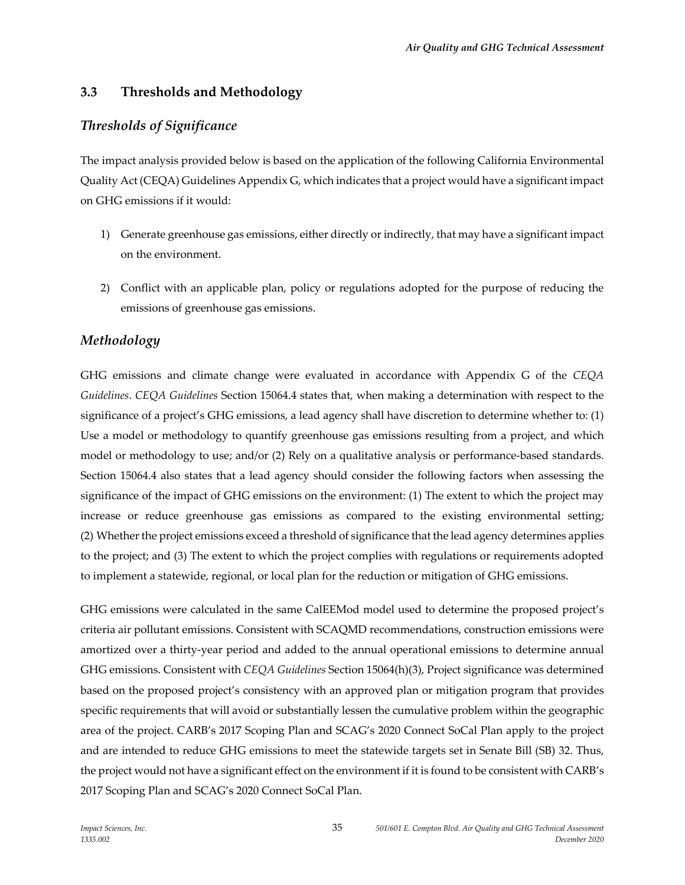## **3.3 Thresholds and Methodology**

## *Thresholds of Significance*

The impact analysis provided below is based on the application of the following California Environmental Quality Act (CEQA) Guidelines Appendix G, which indicates that a project would have a significant impact on GHG emissions if it would:

- 1) Generate greenhouse gas emissions, either directly or indirectly, that may have a significant impact on the environment.
- 2) Conflict with an applicable plan, policy or regulations adopted for the purpose of reducing the emissions of greenhouse gas emissions.

## *Methodology*

GHG emissions and climate change were evaluated in accordance with Appendix G of the *CEQA Guidelines*. *CEQA Guidelines* Section 15064.4 states that, when making a determination with respect to the significance of a project's GHG emissions, a lead agency shall have discretion to determine whether to: (1) Use a model or methodology to quantify greenhouse gas emissions resulting from a project, and which model or methodology to use; and/or (2) Rely on a qualitative analysis or performance-based standards. Section 15064.4 also states that a lead agency should consider the following factors when assessing the significance of the impact of GHG emissions on the environment: (1) The extent to which the project may increase or reduce greenhouse gas emissions as compared to the existing environmental setting; (2) Whether the project emissions exceed a threshold of significance that the lead agency determines applies to the project; and (3) The extent to which the project complies with regulations or requirements adopted to implement a statewide, regional, or local plan for the reduction or mitigation of GHG emissions.

GHG emissions were calculated in the same CalEEMod model used to determine the proposed project's criteria air pollutant emissions. Consistent with SCAQMD recommendations, construction emissions were amortized over a thirty-year period and added to the annual operational emissions to determine annual GHG emissions. Consistent with *CEQA Guidelines* Section 15064(h)(3), Project significance was determined based on the proposed project's consistency with an approved plan or mitigation program that provides specific requirements that will avoid or substantially lessen the cumulative problem within the geographic area of the project. CARB's 2017 Scoping Plan and SCAG's 2020 Connect SoCal Plan apply to the project and are intended to reduce GHG emissions to meet the statewide targets set in Senate Bill (SB) 32. Thus, the project would not have a significant effect on the environment if it is found to be consistent with CARB's 2017 Scoping Plan and SCAG's 2020 Connect SoCal Plan.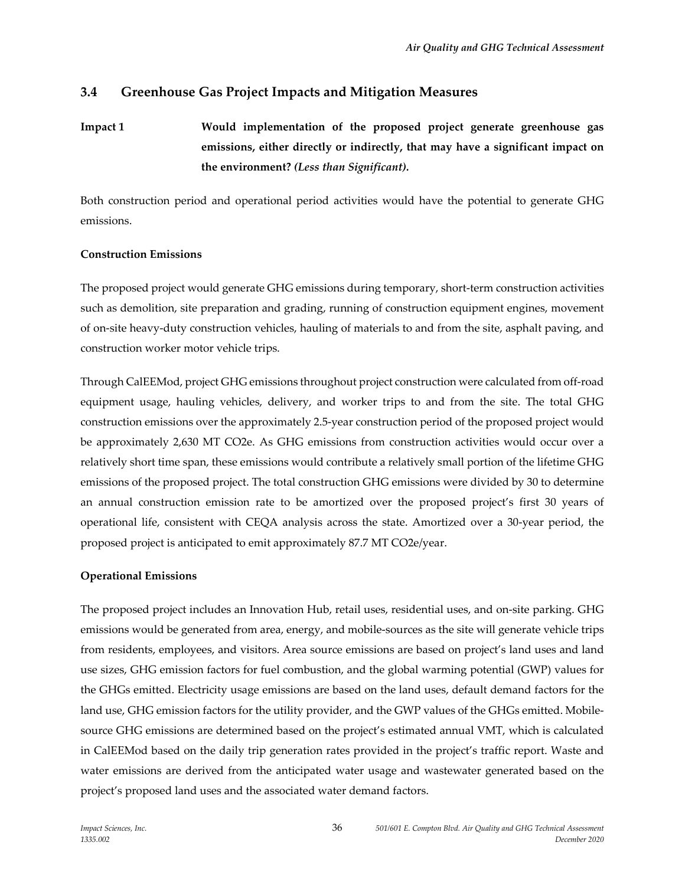## **3.4 Greenhouse Gas Project Impacts and Mitigation Measures**

**Impact 1 Would implementation of the proposed project generate greenhouse gas emissions, either directly or indirectly, that may have a significant impact on the environment?** *(Less than Significant).*

Both construction period and operational period activities would have the potential to generate GHG emissions.

#### **Construction Emissions**

The proposed project would generate GHG emissions during temporary, short-term construction activities such as demolition, site preparation and grading, running of construction equipment engines, movement of on-site heavy-duty construction vehicles, hauling of materials to and from the site, asphalt paving, and construction worker motor vehicle trips.

Through CalEEMod, project GHG emissions throughout project construction were calculated from off-road equipment usage, hauling vehicles, delivery, and worker trips to and from the site. The total GHG construction emissions over the approximately 2.5-year construction period of the proposed project would be approximately 2,630 MT CO2e. As GHG emissions from construction activities would occur over a relatively short time span, these emissions would contribute a relatively small portion of the lifetime GHG emissions of the proposed project. The total construction GHG emissions were divided by 30 to determine an annual construction emission rate to be amortized over the proposed project's first 30 years of operational life, consistent with CEQA analysis across the state. Amortized over a 30-year period, the proposed project is anticipated to emit approximately 87.7 MT CO2e/year.

#### **Operational Emissions**

The proposed project includes an Innovation Hub, retail uses, residential uses, and on-site parking. GHG emissions would be generated from area, energy, and mobile-sources as the site will generate vehicle trips from residents, employees, and visitors. Area source emissions are based on project's land uses and land use sizes, GHG emission factors for fuel combustion, and the global warming potential (GWP) values for the GHGs emitted. Electricity usage emissions are based on the land uses, default demand factors for the land use, GHG emission factors for the utility provider, and the GWP values of the GHGs emitted. Mobilesource GHG emissions are determined based on the project's estimated annual VMT, which is calculated in CalEEMod based on the daily trip generation rates provided in the project's traffic report. Waste and water emissions are derived from the anticipated water usage and wastewater generated based on the project's proposed land uses and the associated water demand factors.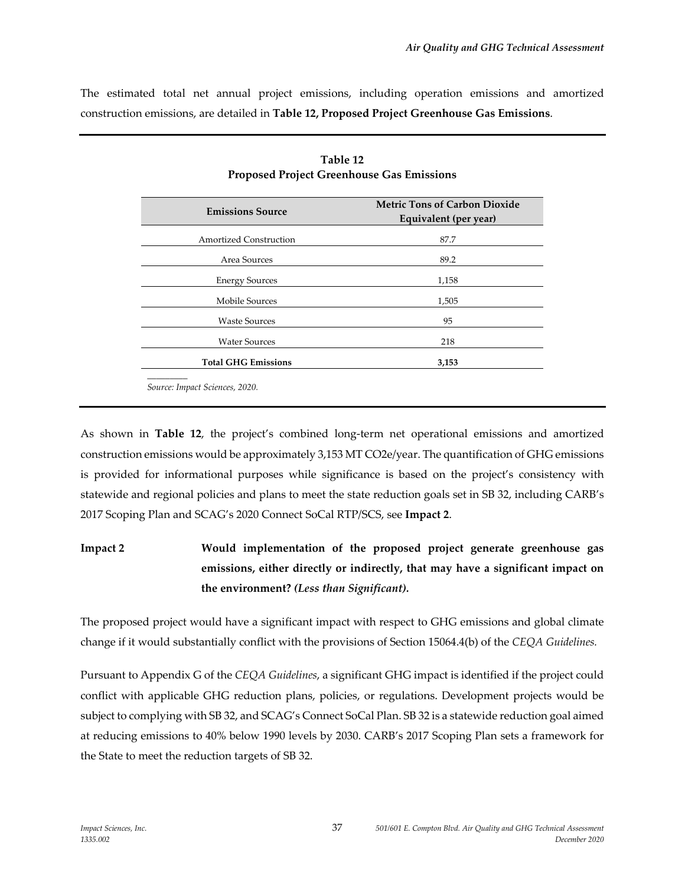The estimated total net annual project emissions, including operation emissions and amortized construction emissions, are detailed in **Table 12, Proposed Project Greenhouse Gas Emissions**.

| <b>Emissions Source</b>       | <b>Metric Tons of Carbon Dioxide</b><br>Equivalent (per year) |
|-------------------------------|---------------------------------------------------------------|
| <b>Amortized Construction</b> | 87.7                                                          |
| Area Sources                  | 89.2                                                          |
| <b>Energy Sources</b>         | 1,158                                                         |
| Mobile Sources                | 1,505                                                         |
| <b>Waste Sources</b>          | 95                                                            |
| <b>Water Sources</b>          | 218                                                           |
| <b>Total GHG Emissions</b>    | 3,153                                                         |

| Table 12                                         |
|--------------------------------------------------|
| <b>Proposed Project Greenhouse Gas Emissions</b> |

*Source: Impact Sciences, 2020.*

As shown in **Table 12**, the project's combined long-term net operational emissions and amortized construction emissions would be approximately 3,153 MT CO2e/year. The quantification of GHG emissions is provided for informational purposes while significance is based on the project's consistency with statewide and regional policies and plans to meet the state reduction goals set in SB 32, including CARB's 2017 Scoping Plan and SCAG's 2020 Connect SoCal RTP/SCS, see **Impact 2**.

## **Impact 2 Would implementation of the proposed project generate greenhouse gas emissions, either directly or indirectly, that may have a significant impact on the environment?** *(Less than Significant).*

The proposed project would have a significant impact with respect to GHG emissions and global climate change if it would substantially conflict with the provisions of Section 15064.4(b) of the *CEQA Guidelines.*

Pursuant to Appendix G of the *CEQA Guidelines*, a significant GHG impact is identified if the project could conflict with applicable GHG reduction plans, policies, or regulations. Development projects would be subject to complying with SB 32, and SCAG's Connect SoCal Plan. SB 32 is a statewide reduction goal aimed at reducing emissions to 40% below 1990 levels by 2030. CARB's 2017 Scoping Plan sets a framework for the State to meet the reduction targets of SB 32.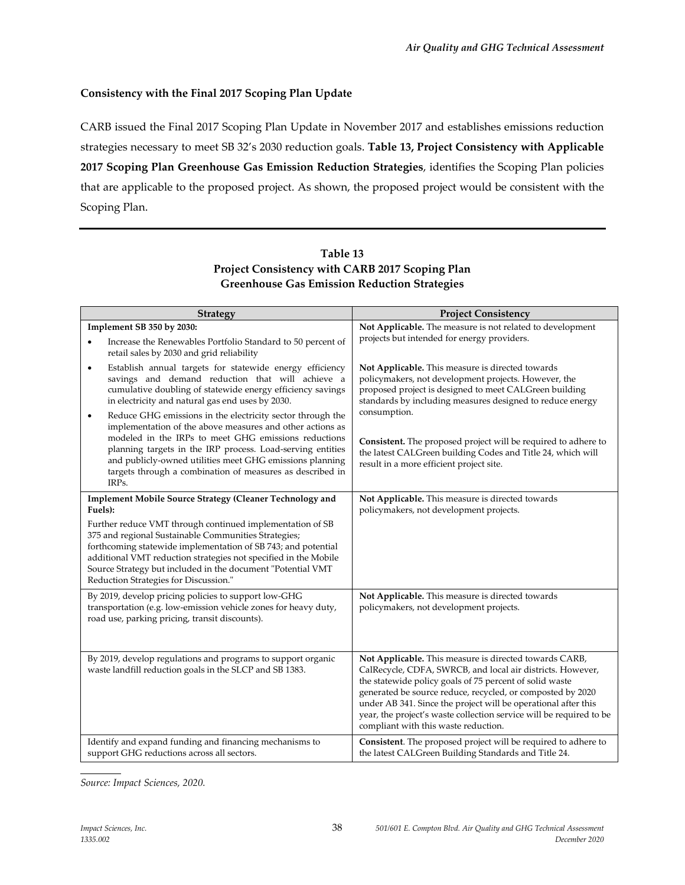## **Consistency with the Final 2017 Scoping Plan Update**

CARB issued the Final 2017 Scoping Plan Update in November 2017 and establishes emissions reduction strategies necessary to meet SB 32's 2030 reduction goals. **Table 13, Project Consistency with Applicable 2017 Scoping Plan Greenhouse Gas Emission Reduction Strategies**, identifies the Scoping Plan policies that are applicable to the proposed project. As shown, the proposed project would be consistent with the Scoping Plan.

## **Table 13 Project Consistency with CARB 2017 Scoping Plan Greenhouse Gas Emission Reduction Strategies**

| <b>Strategy</b>                                                                                                                                                                                                                                                                                                                                                                      | <b>Project Consistency</b>                                                                                                                                                                                                                                                                                                                                                                                                     |
|--------------------------------------------------------------------------------------------------------------------------------------------------------------------------------------------------------------------------------------------------------------------------------------------------------------------------------------------------------------------------------------|--------------------------------------------------------------------------------------------------------------------------------------------------------------------------------------------------------------------------------------------------------------------------------------------------------------------------------------------------------------------------------------------------------------------------------|
| Implement SB 350 by 2030:                                                                                                                                                                                                                                                                                                                                                            | Not Applicable. The measure is not related to development                                                                                                                                                                                                                                                                                                                                                                      |
| Increase the Renewables Portfolio Standard to 50 percent of<br>retail sales by 2030 and grid reliability                                                                                                                                                                                                                                                                             | projects but intended for energy providers.                                                                                                                                                                                                                                                                                                                                                                                    |
| Establish annual targets for statewide energy efficiency<br>$\bullet$<br>savings and demand reduction that will achieve a<br>cumulative doubling of statewide energy efficiency savings<br>in electricity and natural gas end uses by 2030.                                                                                                                                          | Not Applicable. This measure is directed towards<br>policymakers, not development projects. However, the<br>proposed project is designed to meet CALGreen building<br>standards by including measures designed to reduce energy                                                                                                                                                                                                |
| Reduce GHG emissions in the electricity sector through the<br>٠<br>implementation of the above measures and other actions as<br>modeled in the IRPs to meet GHG emissions reductions<br>planning targets in the IRP process. Load-serving entities<br>and publicly-owned utilities meet GHG emissions planning<br>targets through a combination of measures as described in<br>IRPs. | consumption.<br>Consistent. The proposed project will be required to adhere to<br>the latest CALGreen building Codes and Title 24, which will<br>result in a more efficient project site.                                                                                                                                                                                                                                      |
| Implement Mobile Source Strategy (Cleaner Technology and<br>Fuels):<br>Further reduce VMT through continued implementation of SB<br>375 and regional Sustainable Communities Strategies;<br>forthcoming statewide implementation of SB 743; and potential<br>additional VMT reduction strategies not specified in the Mobile                                                         | Not Applicable. This measure is directed towards<br>policymakers, not development projects.                                                                                                                                                                                                                                                                                                                                    |
| Source Strategy but included in the document "Potential VMT<br>Reduction Strategies for Discussion."                                                                                                                                                                                                                                                                                 |                                                                                                                                                                                                                                                                                                                                                                                                                                |
| By 2019, develop pricing policies to support low-GHG<br>transportation (e.g. low-emission vehicle zones for heavy duty,<br>road use, parking pricing, transit discounts).                                                                                                                                                                                                            | Not Applicable. This measure is directed towards<br>policymakers, not development projects.                                                                                                                                                                                                                                                                                                                                    |
| By 2019, develop regulations and programs to support organic<br>waste landfill reduction goals in the SLCP and SB 1383.                                                                                                                                                                                                                                                              | Not Applicable. This measure is directed towards CARB,<br>CalRecycle, CDFA, SWRCB, and local air districts. However,<br>the statewide policy goals of 75 percent of solid waste<br>generated be source reduce, recycled, or composted by 2020<br>under AB 341. Since the project will be operational after this<br>year, the project's waste collection service will be required to be<br>compliant with this waste reduction. |
| Identify and expand funding and financing mechanisms to<br>support GHG reductions across all sectors.                                                                                                                                                                                                                                                                                | <b>Consistent.</b> The proposed project will be required to adhere to<br>the latest CALGreen Building Standards and Title 24.                                                                                                                                                                                                                                                                                                  |

*Source: Impact Sciences, 2020.*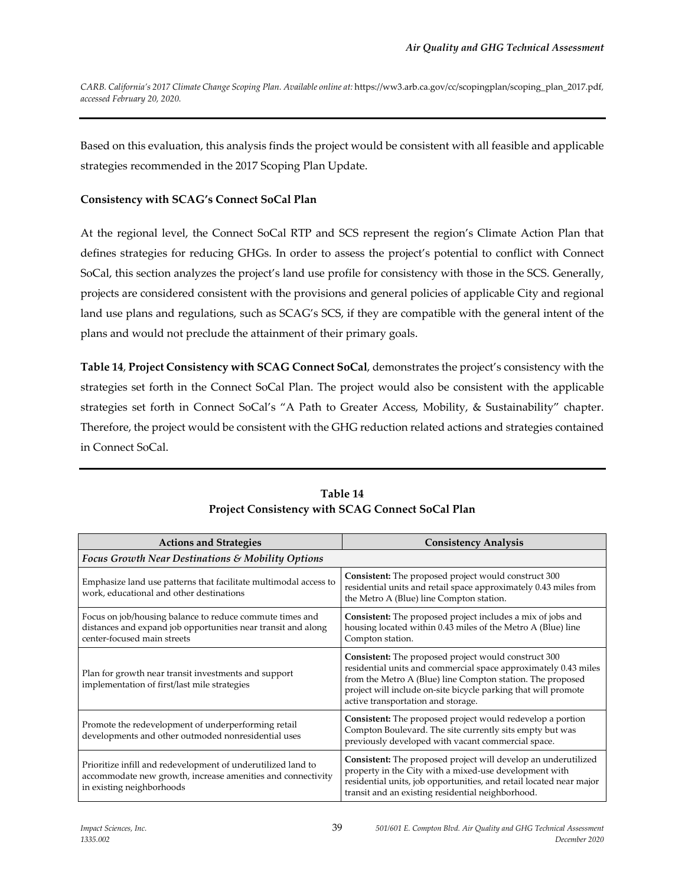*CARB. California's 2017 Climate Change Scoping Plan. Available online at:* https://ww3.arb.ca.gov/cc/scopingplan/scoping\_plan\_2017.pdf*, accessed February 20, 2020.*

Based on this evaluation, this analysis finds the project would be consistent with all feasible and applicable strategies recommended in the 2017 Scoping Plan Update.

## **Consistency with SCAG's Connect SoCal Plan**

At the regional level, the Connect SoCal RTP and SCS represent the region's Climate Action Plan that defines strategies for reducing GHGs. In order to assess the project's potential to conflict with Connect SoCal, this section analyzes the project's land use profile for consistency with those in the SCS. Generally, projects are considered consistent with the provisions and general policies of applicable City and regional land use plans and regulations, such as SCAG's SCS, if they are compatible with the general intent of the plans and would not preclude the attainment of their primary goals.

**Table 14**, **Project Consistency with SCAG Connect SoCal**, demonstrates the project's consistency with the strategies set forth in the Connect SoCal Plan. The project would also be consistent with the applicable strategies set forth in Connect SoCal's "A Path to Greater Access, Mobility, & Sustainability" chapter. Therefore, the project would be consistent with the GHG reduction related actions and strategies contained in Connect SoCal.

| <b>Actions and Strategies</b>                                                                                                                            | <b>Consistency Analysis</b>                                                                                                                                                                                                                                                                   |  |  |
|----------------------------------------------------------------------------------------------------------------------------------------------------------|-----------------------------------------------------------------------------------------------------------------------------------------------------------------------------------------------------------------------------------------------------------------------------------------------|--|--|
| <b>Focus Growth Near Destinations &amp; Mobility Options</b>                                                                                             |                                                                                                                                                                                                                                                                                               |  |  |
| Emphasize land use patterns that facilitate multimodal access to<br>work, educational and other destinations                                             | Consistent: The proposed project would construct 300<br>residential units and retail space approximately 0.43 miles from<br>the Metro A (Blue) line Compton station.                                                                                                                          |  |  |
| Focus on job/housing balance to reduce commute times and<br>distances and expand job opportunities near transit and along<br>center-focused main streets | Consistent: The proposed project includes a mix of jobs and<br>housing located within 0.43 miles of the Metro A (Blue) line<br>Compton station.                                                                                                                                               |  |  |
| Plan for growth near transit investments and support<br>implementation of first/last mile strategies                                                     | Consistent: The proposed project would construct 300<br>residential units and commercial space approximately 0.43 miles<br>from the Metro A (Blue) line Compton station. The proposed<br>project will include on-site bicycle parking that will promote<br>active transportation and storage. |  |  |
| Promote the redevelopment of underperforming retail<br>developments and other outmoded nonresidential uses                                               | <b>Consistent:</b> The proposed project would redevelop a portion<br>Compton Boulevard. The site currently sits empty but was<br>previously developed with vacant commercial space.                                                                                                           |  |  |
| Prioritize infill and redevelopment of underutilized land to<br>accommodate new growth, increase amenities and connectivity<br>in existing neighborhoods | Consistent: The proposed project will develop an underutilized<br>property in the City with a mixed-use development with<br>residential units, job opportunities, and retail located near major<br>transit and an existing residential neighborhood.                                          |  |  |

## **Table 14 Project Consistency with SCAG Connect SoCal Plan**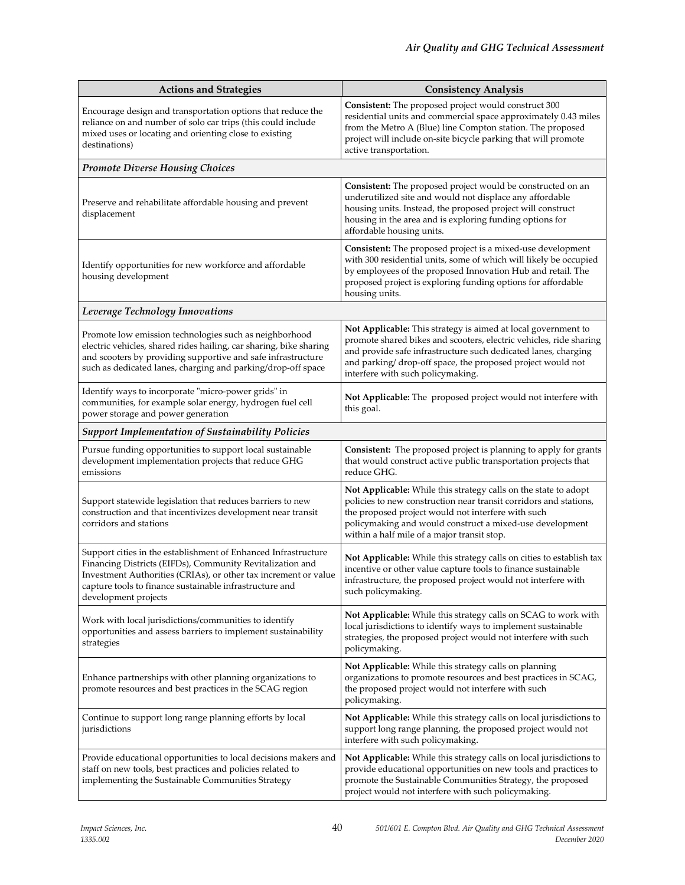| <b>Actions and Strategies</b>                                                                                                                                                                                                                                                     | <b>Consistency Analysis</b>                                                                                                                                                                                                                                                                              |
|-----------------------------------------------------------------------------------------------------------------------------------------------------------------------------------------------------------------------------------------------------------------------------------|----------------------------------------------------------------------------------------------------------------------------------------------------------------------------------------------------------------------------------------------------------------------------------------------------------|
| Encourage design and transportation options that reduce the<br>reliance on and number of solo car trips (this could include<br>mixed uses or locating and orienting close to existing<br>destinations)                                                                            | Consistent: The proposed project would construct 300<br>residential units and commercial space approximately 0.43 miles<br>from the Metro A (Blue) line Compton station. The proposed<br>project will include on-site bicycle parking that will promote<br>active transportation.                        |
| <b>Promote Diverse Housing Choices</b>                                                                                                                                                                                                                                            |                                                                                                                                                                                                                                                                                                          |
| Preserve and rehabilitate affordable housing and prevent<br>displacement                                                                                                                                                                                                          | Consistent: The proposed project would be constructed on an<br>underutilized site and would not displace any affordable<br>housing units. Instead, the proposed project will construct<br>housing in the area and is exploring funding options for<br>affordable housing units.                          |
| Identify opportunities for new workforce and affordable<br>housing development                                                                                                                                                                                                    | Consistent: The proposed project is a mixed-use development<br>with 300 residential units, some of which will likely be occupied<br>by employees of the proposed Innovation Hub and retail. The<br>proposed project is exploring funding options for affordable<br>housing units.                        |
| Leverage Technology Innovations                                                                                                                                                                                                                                                   |                                                                                                                                                                                                                                                                                                          |
| Promote low emission technologies such as neighborhood<br>electric vehicles, shared rides hailing, car sharing, bike sharing<br>and scooters by providing supportive and safe infrastructure<br>such as dedicated lanes, charging and parking/drop-off space                      | Not Applicable: This strategy is aimed at local government to<br>promote shared bikes and scooters, electric vehicles, ride sharing<br>and provide safe infrastructure such dedicated lanes, charging<br>and parking/drop-off space, the proposed project would not<br>interfere with such policymaking. |
| Identify ways to incorporate "micro-power grids" in<br>communities, for example solar energy, hydrogen fuel cell<br>power storage and power generation                                                                                                                            | Not Applicable: The proposed project would not interfere with<br>this goal.                                                                                                                                                                                                                              |
| <b>Support Implementation of Sustainability Policies</b>                                                                                                                                                                                                                          |                                                                                                                                                                                                                                                                                                          |
| Pursue funding opportunities to support local sustainable<br>development implementation projects that reduce GHG<br>emissions                                                                                                                                                     | Consistent: The proposed project is planning to apply for grants<br>that would construct active public transportation projects that<br>reduce GHG.                                                                                                                                                       |
| Support statewide legislation that reduces barriers to new<br>construction and that incentivizes development near transit<br>corridors and stations                                                                                                                               | Not Applicable: While this strategy calls on the state to adopt<br>policies to new construction near transit corridors and stations,<br>the proposed project would not interfere with such<br>policymaking and would construct a mixed-use development<br>within a half mile of a major transit stop.    |
| Support cities in the establishment of Enhanced Infrastructure<br>Financing Districts (EIFDs), Community Revitalization and<br>Investment Authorities (CRIAs), or other tax increment or value<br>capture tools to finance sustainable infrastructure and<br>development projects | Not Applicable: While this strategy calls on cities to establish tax<br>incentive or other value capture tools to finance sustainable<br>infrastructure, the proposed project would not interfere with<br>such policymaking.                                                                             |
| Work with local jurisdictions/communities to identify<br>opportunities and assess barriers to implement sustainability<br>strategies                                                                                                                                              | Not Applicable: While this strategy calls on SCAG to work with<br>local jurisdictions to identify ways to implement sustainable<br>strategies, the proposed project would not interfere with such<br>policymaking.                                                                                       |
| Enhance partnerships with other planning organizations to<br>promote resources and best practices in the SCAG region                                                                                                                                                              | Not Applicable: While this strategy calls on planning<br>organizations to promote resources and best practices in SCAG,<br>the proposed project would not interfere with such<br>policymaking.                                                                                                           |
| Continue to support long range planning efforts by local<br>jurisdictions                                                                                                                                                                                                         | Not Applicable: While this strategy calls on local jurisdictions to<br>support long range planning, the proposed project would not<br>interfere with such policymaking.                                                                                                                                  |
| Provide educational opportunities to local decisions makers and<br>staff on new tools, best practices and policies related to<br>implementing the Sustainable Communities Strategy                                                                                                | Not Applicable: While this strategy calls on local jurisdictions to<br>provide educational opportunities on new tools and practices to<br>promote the Sustainable Communities Strategy, the proposed<br>project would not interfere with such policymaking.                                              |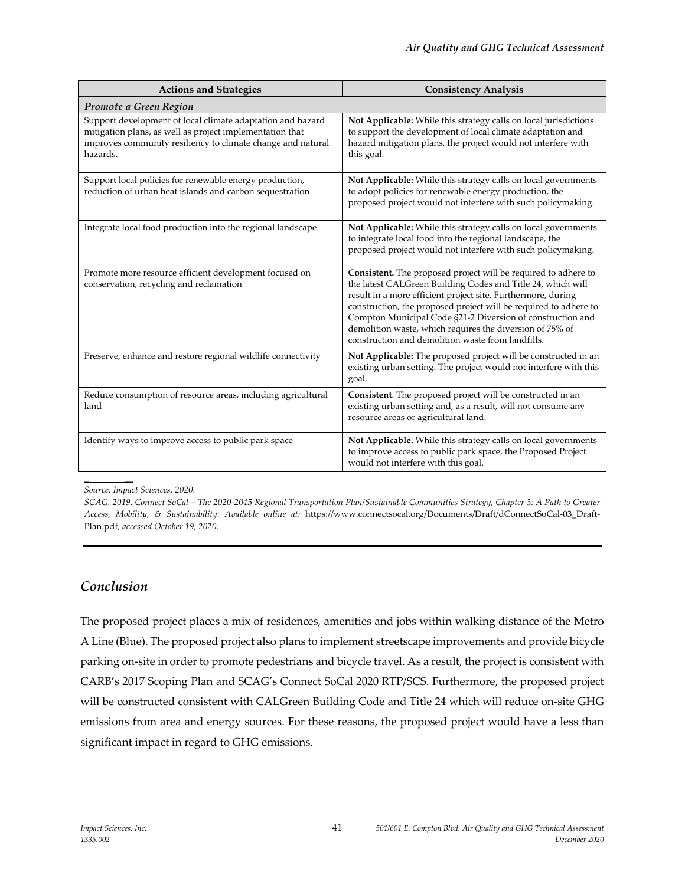| <b>Actions and Strategies</b>                                                                                                                                                                     | <b>Consistency Analysis</b>                                                                                                                                                                                                                                                                                                                                                                                                                      |  |  |
|---------------------------------------------------------------------------------------------------------------------------------------------------------------------------------------------------|--------------------------------------------------------------------------------------------------------------------------------------------------------------------------------------------------------------------------------------------------------------------------------------------------------------------------------------------------------------------------------------------------------------------------------------------------|--|--|
| Promote a Green Region                                                                                                                                                                            |                                                                                                                                                                                                                                                                                                                                                                                                                                                  |  |  |
| Support development of local climate adaptation and hazard<br>mitigation plans, as well as project implementation that<br>improves community resiliency to climate change and natural<br>hazards. | Not Applicable: While this strategy calls on local jurisdictions<br>to support the development of local climate adaptation and<br>hazard mitigation plans, the project would not interfere with<br>this goal.                                                                                                                                                                                                                                    |  |  |
| Support local policies for renewable energy production,<br>reduction of urban heat islands and carbon sequestration                                                                               | Not Applicable: While this strategy calls on local governments<br>to adopt policies for renewable energy production, the<br>proposed project would not interfere with such policymaking.                                                                                                                                                                                                                                                         |  |  |
| Integrate local food production into the regional landscape                                                                                                                                       | Not Applicable: While this strategy calls on local governments<br>to integrate local food into the regional landscape, the<br>proposed project would not interfere with such policymaking.                                                                                                                                                                                                                                                       |  |  |
| Promote more resource efficient development focused on<br>conservation, recycling and reclamation                                                                                                 | Consistent. The proposed project will be required to adhere to<br>the latest CALGreen Building Codes and Title 24, which will<br>result in a more efficient project site. Furthermore, during<br>construction, the proposed project will be required to adhere to<br>Compton Municipal Code §21-2 Diversion of construction and<br>demolition waste, which requires the diversion of 75% of<br>construction and demolition waste from landfills. |  |  |
| Preserve, enhance and restore regional wildlife connectivity                                                                                                                                      | Not Applicable: The proposed project will be constructed in an<br>existing urban setting. The project would not interfere with this<br>goal.                                                                                                                                                                                                                                                                                                     |  |  |
| Reduce consumption of resource areas, including agricultural<br>land                                                                                                                              | Consistent. The proposed project will be constructed in an<br>existing urban setting and, as a result, will not consume any<br>resource areas or agricultural land.                                                                                                                                                                                                                                                                              |  |  |
| Identify ways to improve access to public park space                                                                                                                                              | Not Applicable. While this strategy calls on local governments<br>to improve access to public park space, the Proposed Project<br>would not interfere with this goal.                                                                                                                                                                                                                                                                            |  |  |

*Source: Impact Sciences, 2020.*

*SCAG. 2019. Connect SoCal – The 2020-2045 Regional Transportation Plan/Sustainable Communities Strategy, Chapter 3: A Path to Greater Access, Mobility, & Sustainability. Available online at:* https://www.connectsocal.org/Documents/Draft/dConnectSoCal-03\_Draft-Plan.pdf*, accessed October 19, 2020.*

## *Conclusion*

*\_ \_\_*

The proposed project places a mix of residences, amenities and jobs within walking distance of the Metro A Line (Blue). The proposed project also plans to implement streetscape improvements and provide bicycle parking on-site in order to promote pedestrians and bicycle travel. As a result, the project is consistent with CARB's 2017 Scoping Plan and SCAG's Connect SoCal 2020 RTP/SCS. Furthermore, the proposed project will be constructed consistent with CALGreen Building Code and Title 24 which will reduce on-site GHG emissions from area and energy sources. For these reasons, the proposed project would have a less than significant impact in regard to GHG emissions.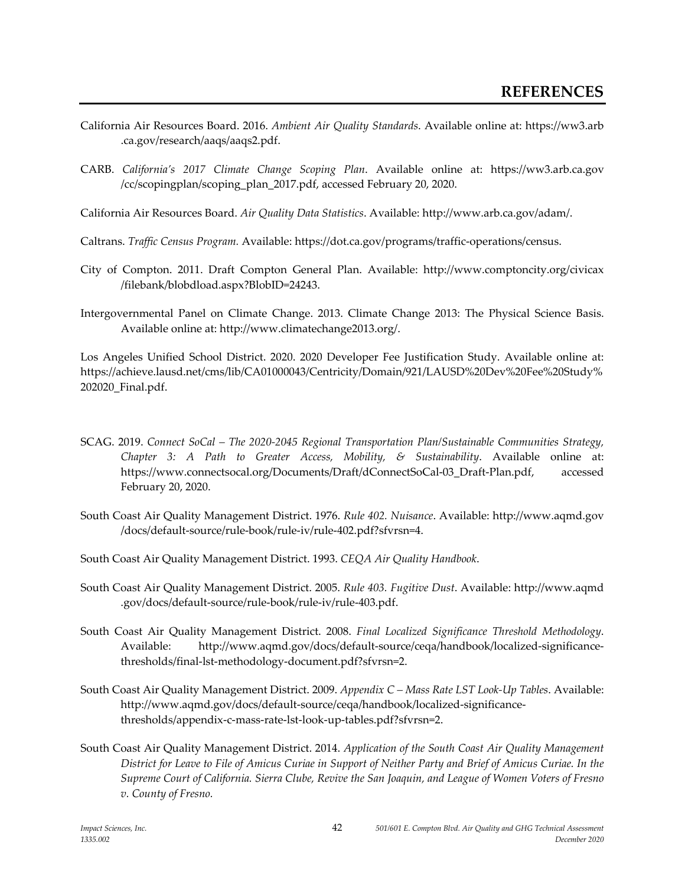- California Air Resources Board. 2016. *Ambient Air Quality Standards*. Available online at: https://ww3.arb .ca.gov/research/aaqs/aaqs2.pdf.
- CARB. *California's 2017 Climate Change Scoping Plan*. Available online at: https://ww3.arb.ca.gov /cc/scopingplan/scoping\_plan\_2017.pdf, accessed February 20, 2020.
- California Air Resources Board. *Air Quality Data Statistics*. Available: http://www.arb.ca.gov/adam/.
- Caltrans. *Traffic Census Program.* Available: https://dot.ca.gov/programs/traffic-operations/census.
- City of Compton. 2011. Draft Compton General Plan. Available: http://www.comptoncity.org/civicax /filebank/blobdload.aspx?BlobID=24243.
- Intergovernmental Panel on Climate Change. 2013. Climate Change 2013: The Physical Science Basis. Available online at: [http://www.climatechange2013.org/.](http://www.climatechange2013.org/)

Los Angeles Unified School District. 2020. 2020 Developer Fee Justification Study. Available online at: https://achieve.lausd.net/cms/lib/CA01000043/Centricity/Domain/921/LAUSD%20Dev%20Fee%20Study% 202020\_Final.pdf.

- SCAG. 2019. *Connect SoCal – The 2020-2045 Regional Transportation Plan/Sustainable Communities Strategy, Chapter 3: A Path to Greater Access, Mobility, & Sustainability*. Available online at: https://www.connectsocal.org/Documents/Draft/dConnectSoCal-03\_Draft-Plan.pdf, accessed February 20, 2020.
- South Coast Air Quality Management District. 1976. *Rule 402. Nuisance*. Available: http://www.aqmd.gov /docs/default-source/rule-book/rule-iv/rule-402.pdf?sfvrsn=4.
- South Coast Air Quality Management District. 1993. *CEQA Air Quality Handbook*.
- South Coast Air Quality Management District. 2005. *Rule 403. Fugitive Dust*. Available: http://www.aqmd .gov/docs/default-source/rule-book/rule-iv/rule-403.pdf.
- South Coast Air Quality Management District. 2008. *Final Localized Significance Threshold Methodology*. Available: http://www.aqmd.gov/docs/default-source/ceqa/handbook/localized-significancethresholds/final-lst-methodology-document.pdf?sfvrsn=2.
- South Coast Air Quality Management District. 2009. *Appendix C – Mass Rate LST Look-Up Tables*. Available: http://www.aqmd.gov/docs/default-source/ceqa/handbook/localized-significancethresholds/appendix-c-mass-rate-lst-look-up-tables.pdf?sfvrsn=2.
- South Coast Air Quality Management District. 2014. *Application of the South Coast Air Quality Management District for Leave to File of Amicus Curiae in Support of Neither Party and Brief of Amicus Curiae. In the Supreme Court of California. Sierra Clube, Revive the San Joaquin, and League of Women Voters of Fresno v. County of Fresno.*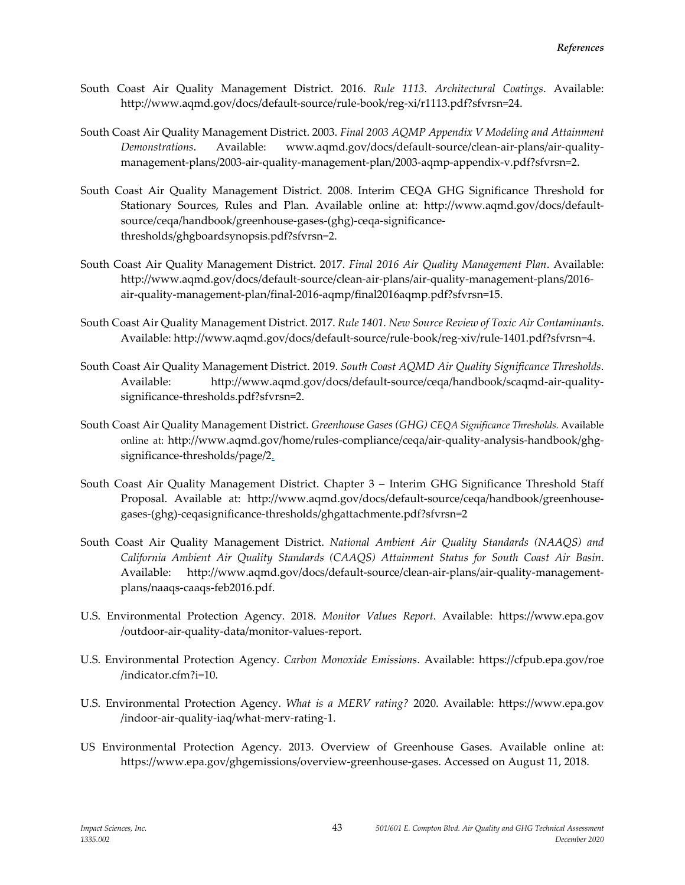- South Coast Air Quality Management District. 2016. *Rule 1113. Architectural Coatings*. Available: http://www.aqmd.gov/docs/default-source/rule-book/reg-xi/r1113.pdf?sfvrsn=24.
- South Coast Air Quality Management District. 2003. *Final 2003 AQMP Appendix V Modeling and Attainment Demonstrations*. Available: www.aqmd.gov/docs/default-source/clean-air-plans/air-qualitymanagement-plans/2003-air-quality-management-plan/2003-aqmp-appendix-v.pdf?sfvrsn=2.
- South Coast Air Quality Management District. 2008. Interim CEQA GHG Significance Threshold for Stationary Sources, Rules and Plan. Available online at: http://www.aqmd.gov/docs/defaultsource/ceqa/handbook/greenhouse-gases-(ghg)-ceqa-significancethresholds/ghgboardsynopsis.pdf?sfvrsn=2.
- South Coast Air Quality Management District. 2017. *Final 2016 Air Quality Management Plan*. Available: http://www.aqmd.gov/docs/default-source/clean-air-plans/air-quality-management-plans/2016 air-quality-management-plan/final-2016-aqmp/final2016aqmp.pdf?sfvrsn=15.
- South Coast Air Quality Management District. 2017. *Rule 1401. New Source Review of Toxic Air Contaminants*. Available: http://www.aqmd.gov/docs/default-source/rule-book/reg-xiv/rule-1401.pdf?sfvrsn=4.
- South Coast Air Quality Management District. 2019. *South Coast AQMD Air Quality Significance Thresholds*. Available: http://www.aqmd.gov/docs/default-source/ceqa/handbook/scaqmd-air-qualitysignificance-thresholds.pdf?sfvrsn=2.
- South Coast Air Quality Management District. *Greenhouse Gases (GHG) CEQA Significance Thresholds.* Available online at: http://www.aqmd.gov/home/rules-compliance/ceqa/air-quality-analysis-handbook/ghgsignificance-thresholds/page/2.
- South Coast Air Quality Management District. Chapter 3 Interim GHG Significance Threshold Staff Proposal. Available at: http://www.aqmd.gov/docs/default-source/ceqa/handbook/greenhousegases-(ghg)-ceqasignificance-thresholds/ghgattachmente.pdf?sfvrsn=2
- South Coast Air Quality Management District. *National Ambient Air Quality Standards (NAAQS) and California Ambient Air Quality Standards (CAAQS) Attainment Status for South Coast Air Basin*. Available: http://www.aqmd.gov/docs/default-source/clean-air-plans/air-quality-managementplans/naaqs-caaqs-feb2016.pdf.
- U.S. Environmental Protection Agency. 2018. *Monitor Values Report*. Available: https://www.epa.gov /outdoor-air-quality-data/monitor-values-report.
- U.S. Environmental Protection Agency. *Carbon Monoxide Emissions*. Available: https://cfpub.epa.gov/roe /indicator.cfm?i=10.
- U.S. Environmental Protection Agency. *What is a MERV rating?* 2020. Available: https://www.epa.gov /indoor-air-quality-iaq/what-merv-rating-1.
- US Environmental Protection Agency. 2013. Overview of Greenhouse Gases. Available online at: https://www.epa.gov/ghgemissions/overview-greenhouse-gases. Accessed on August 11, 2018.